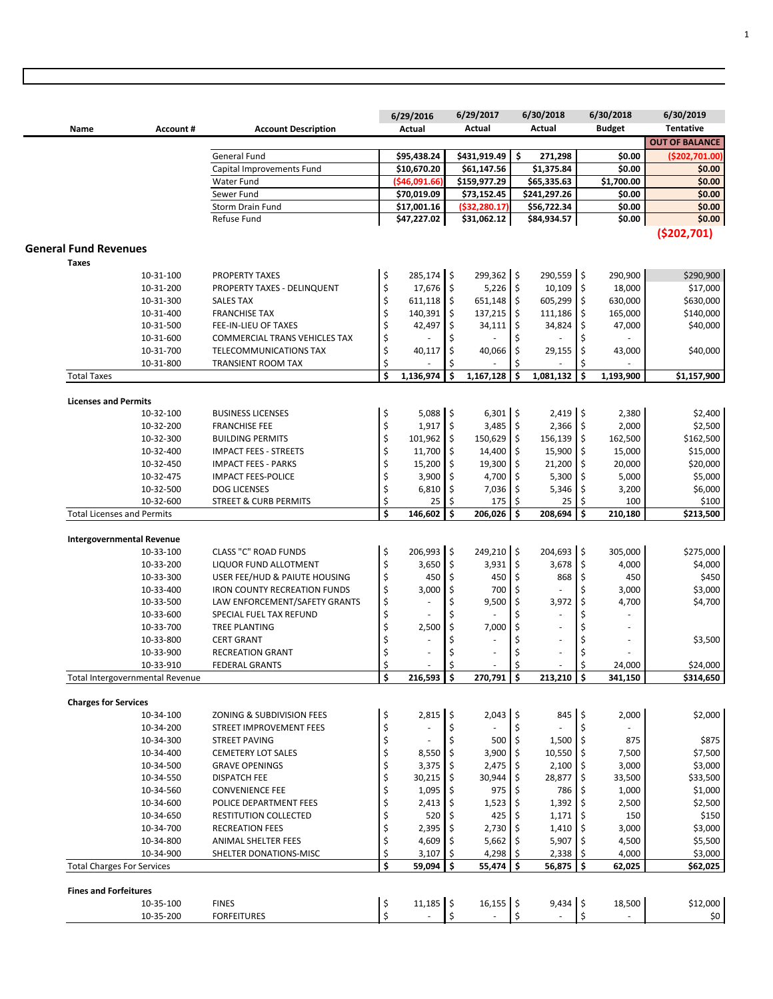|                                   |                        |                                                                      |          | 6/29/2016                  |          | 6/29/2017                   | 6/30/2018                  | 6/30/2018                   | 6/30/2019             |
|-----------------------------------|------------------------|----------------------------------------------------------------------|----------|----------------------------|----------|-----------------------------|----------------------------|-----------------------------|-----------------------|
| Name                              | Account#               | <b>Account Description</b>                                           |          | Actual                     |          | Actual                      | Actual                     | <b>Budget</b>               | <b>Tentative</b>      |
|                                   |                        |                                                                      |          |                            |          |                             |                            |                             | <b>OUT OF BALANCE</b> |
|                                   |                        | General Fund                                                         |          | \$95,438.24                |          | \$431,919.49                | \$<br>271,298              | \$0.00                      | (\$202,701.00)        |
|                                   |                        | Capital Improvements Fund                                            |          | \$10,670.20                |          | \$61,147.56                 | \$1,375.84                 | \$0.00                      | \$0.00                |
|                                   |                        | Water Fund                                                           |          | ( \$46,091.66]             |          | \$159,977.29                | \$65,335.63                | \$1,700.00                  | \$0.00                |
|                                   |                        | Sewer Fund                                                           |          | \$70,019.09                |          | \$73,152.45                 | \$241,297.26               | \$0.00                      | \$0.00                |
|                                   |                        | Storm Drain Fund<br>Refuse Fund                                      |          | \$17,001.16<br>\$47,227.02 |          | (\$32,280.17<br>\$31,062.12 | \$56,722.34<br>\$84,934.57 | \$0.00<br>\$0.00            | \$0.00<br>\$0.00      |
|                                   |                        |                                                                      |          |                            |          |                             |                            |                             |                       |
|                                   |                        |                                                                      |          |                            |          |                             |                            |                             | ( \$202, 701)         |
| <b>General Fund Revenues</b>      |                        |                                                                      |          |                            |          |                             |                            |                             |                       |
| Taxes                             |                        |                                                                      |          |                            |          |                             |                            |                             |                       |
|                                   | 10-31-100              | <b>PROPERTY TAXES</b>                                                | \$       | 285,174 \$                 |          | 299,362 \$<br>$5,226$ \$    | 290,559 \$<br>10,109       | 290,900<br>۱\$<br>18,000    | \$290,900             |
|                                   | 10-31-200<br>10-31-300 | PROPERTY TAXES - DELINQUENT<br><b>SALES TAX</b>                      | \$<br>\$ | 17,676<br>611,118          | \$<br>\$ | $651,148$ \$                | 605,299                    | I\$<br>630,000              | \$17,000<br>\$630,000 |
|                                   |                        | <b>FRANCHISE TAX</b>                                                 | \$       | 140,391                    | \$       | 137,215                     | $111,186$ \$<br>\$         | 165,000                     | \$140,000             |
|                                   | 10-31-400<br>10-31-500 | FEE-IN-LIEU OF TAXES                                                 | \$       | 42,497                     | \$       | 34,111                      | \$<br>34,824               | \$<br>47,000                | \$40,000              |
|                                   | 10-31-600              | <b>COMMERCIAL TRANS VEHICLES TAX</b>                                 | \$       |                            | \$       |                             | \$                         | \$                          |                       |
|                                   | 10-31-700              | TELECOMMUNICATIONS TAX                                               | \$       | 40,117                     | \$       | 40,066                      | \$<br>29,155               | \$<br>43,000                | \$40,000              |
|                                   | 10-31-800              | <b>TRANSIENT ROOM TAX</b>                                            | \$       |                            | \$       |                             | Ś                          |                             |                       |
| <b>Total Taxes</b>                |                        |                                                                      | \$       | 1,136,974                  | \$       | 1,167,128                   | \$<br>1,081,132            | \$<br>1,193,900             | \$1,157,900           |
|                                   |                        |                                                                      |          |                            |          |                             |                            |                             |                       |
| <b>Licenses and Permits</b>       |                        |                                                                      |          |                            |          |                             |                            |                             |                       |
|                                   | 10-32-100              | <b>BUSINESS LICENSES</b>                                             | \$       | $5,088$ \$                 |          | $6,301$ \$                  | 2,419                      | $\vert$ \$<br>2,380         | \$2,400               |
|                                   | 10-32-200              | <b>FRANCHISE FEE</b>                                                 | \$       | 1,917                      | \$       | $3,485$ \$                  | $2,366$ \$                 | 2,000                       | \$2,500               |
|                                   | 10-32-300              | <b>BUILDING PERMITS</b>                                              | \$       | 101,962                    | \$       | 150,629 \$                  | 156,139                    | l \$<br>162,500             | \$162,500             |
|                                   | 10-32-400              | <b>IMPACT FEES - STREETS</b>                                         | \$       | 11,700                     | \$       | 14,400                      | \$<br>15,900               | \$<br>15,000                | \$15,000              |
|                                   | 10-32-450              | <b>IMPACT FEES - PARKS</b>                                           | \$       | 15,200                     | \$       | $19,300$ \$                 | 21,200                     | ۱\$<br>20,000               | \$20,000              |
|                                   | 10-32-475              | <b>IMPACT FEES-POLICE</b>                                            | \$       | 3,900                      | \$       | 4,700                       | \$<br>5,300                | \$<br>5,000                 | \$5,000               |
|                                   | 10-32-500              | <b>DOG LICENSES</b>                                                  | \$       | 6,810                      | \$       | 7,036                       | 5,346<br>\$                | \$<br>3,200                 | \$6,000               |
|                                   | 10-32-600              | <b>STREET &amp; CURB PERMITS</b>                                     | \$       | 25                         | \$       | 175                         | 25<br>\$                   | 100<br>\$.                  | \$100                 |
| <b>Total Licenses and Permits</b> |                        |                                                                      | \$       | 146,602                    | Ś        | 206,026                     | Ś<br>208,694               | \$<br>210,180               | \$213,500             |
|                                   |                        |                                                                      |          |                            |          |                             |                            |                             |                       |
| <b>Intergovernmental Revenue</b>  |                        |                                                                      |          |                            |          |                             | 204,693 \$                 |                             |                       |
|                                   | 10-33-100              | <b>CLASS "C" ROAD FUNDS</b>                                          | \$       | 206,993                    | \$       | 249,210 \$                  |                            | 305,000                     | \$275,000             |
|                                   | 10-33-200              | LIQUOR FUND ALLOTMENT                                                | \$       | 3,650                      | \$       | 3,931                       | \$<br>3,678                | $\frac{1}{2}$<br>4,000      | \$4,000               |
|                                   | 10-33-300              | USER FEE/HUD & PAIUTE HOUSING<br><b>IRON COUNTY RECREATION FUNDS</b> | \$<br>\$ | 450<br>3,000               | \$<br>\$ | 450<br>700                  | l \$<br>868<br>\$          | \$<br>450<br>\$<br>3,000    | \$450<br>\$3,000      |
|                                   | 10-33-400              | LAW ENFORCEMENT/SAFETY GRANTS                                        | \$       | $\overline{\phantom{a}}$   | \$       | 9,500                       | \$<br>3,972                | \$<br>4,700                 | \$4,700               |
|                                   | 10-33-500<br>10-33-600 | SPECIAL FUEL TAX REFUND                                              | \$       |                            | \$       |                             | $\overline{\phantom{a}}$   | \$                          |                       |
|                                   |                        | <b>TREE PLANTING</b>                                                 | \$       | 2,500                      | \$       | 7,000                       | \$<br>$\sim$               | \$<br>ä,                    |                       |
|                                   | 10-33-700<br>10-33-800 | <b>CERT GRANT</b>                                                    | \$       |                            | \$       |                             | $\overline{\phantom{a}}$   | \$<br>÷,                    | \$3,500               |
|                                   | 10-33-900              | <b>RECREATION GRANT</b>                                              | \$       | $\sim$                     | \$       | $\sim$                      | \$<br>÷.                   | \$<br>$\overline{a}$        |                       |
|                                   | 10-33-910              | <b>FEDERAL GRANTS</b>                                                | \$       |                            | \$       |                             | \$                         | \$<br>24,000                | \$24,000              |
| Total Intergovernmental Revenue   |                        |                                                                      | \$       | 216,593                    | \$       | 270,791                     | \$<br>213,210              | $\mathsf{s}$<br>341,150     | \$314,650             |
|                                   |                        |                                                                      |          |                            |          |                             |                            |                             |                       |
| <b>Charges for Services</b>       |                        |                                                                      |          |                            |          |                             |                            |                             |                       |
|                                   | 10-34-100              | ZONING & SUBDIVISION FEES                                            | \$       | $2,815$ \$                 |          | $2,043$ \$                  | 845                        | $\vert \mathsf{s}$<br>2,000 | \$2,000               |
|                                   | 10-34-200              | STREET IMPROVEMENT FEES                                              | \$       |                            | \$       |                             | \$                         | \$                          |                       |
|                                   | 10-34-300              | STREET PAVING                                                        | \$       |                            | \$       | 500                         | $1,500$ \$<br>\$           | 875                         | \$875                 |
|                                   | 10-34-400              | CEMETERY LOT SALES                                                   | \$       | 8,550                      | \$       | $3,900$ \$                  | 10,550                     | 1\$<br>7,500                | \$7,500               |
|                                   | 10-34-500              | <b>GRAVE OPENINGS</b>                                                | \$       | 3,375                      |          | 2,475                       | $2,100$ \$                 | 3,000                       | \$3,000               |
|                                   | 10-34-550              | <b>DISPATCH FEE</b>                                                  | \$       | 30,215                     | \$       | 30,944                      | 28,877 \$<br>\$            | 33,500                      | \$33,500              |
|                                   | 10-34-560              | <b>CONVENIENCE FEE</b>                                               | \$       | 1,095                      | \$       | 975                         | 786                        | 1,000<br>-\$                | \$1,000               |
|                                   | 10-34-600              | POLICE DEPARTMENT FEES                                               | \$       | 2,413                      | -\$      | 1,523                       | $1,392$ \$                 | 2,500                       | \$2,500               |
|                                   | 10-34-650              | RESTITUTION COLLECTED                                                | \$       | 520                        | Ŝ        | 425                         | $1,171$ \$                 | 150                         | \$150                 |
|                                   | 10-34-700              | <b>RECREATION FEES</b>                                               | \$       | 2,395                      | \$.      | $2,730$ \$                  | $1,410$ \$                 | 3,000                       | \$3,000               |
|                                   | 10-34-800              | ANIMAL SHELTER FEES                                                  | \$       | 4,609                      |          | 5,662                       | 5,907                      | \$<br>4,500                 | \$5,500               |
|                                   | 10-34-900              | SHELTER DONATIONS-MISC                                               | \$       | 3,107                      | \$       | 4,298                       | \$<br>2,338                | \$<br>4,000                 | \$3,000               |
| <b>Total Charges For Services</b> |                        |                                                                      | \$       | 59,094                     | \$.      | $55,474$ \$                 | $56,875$ \$                | 62,025                      | \$62,025              |
| <b>Fines and Forfeitures</b>      |                        |                                                                      |          |                            |          |                             |                            |                             |                       |
|                                   | 10-35-100              | <b>FINES</b>                                                         | \$       | $11,185$ \$                |          | 16,155 \$                   | $9,434$ \$                 | 18,500                      | \$12,000              |
|                                   | 10-35-200              | <b>FORFEITURES</b>                                                   | \$       |                            | \$       |                             | \$                         | \$                          | \$0\$                 |
|                                   |                        |                                                                      |          |                            |          |                             |                            |                             |                       |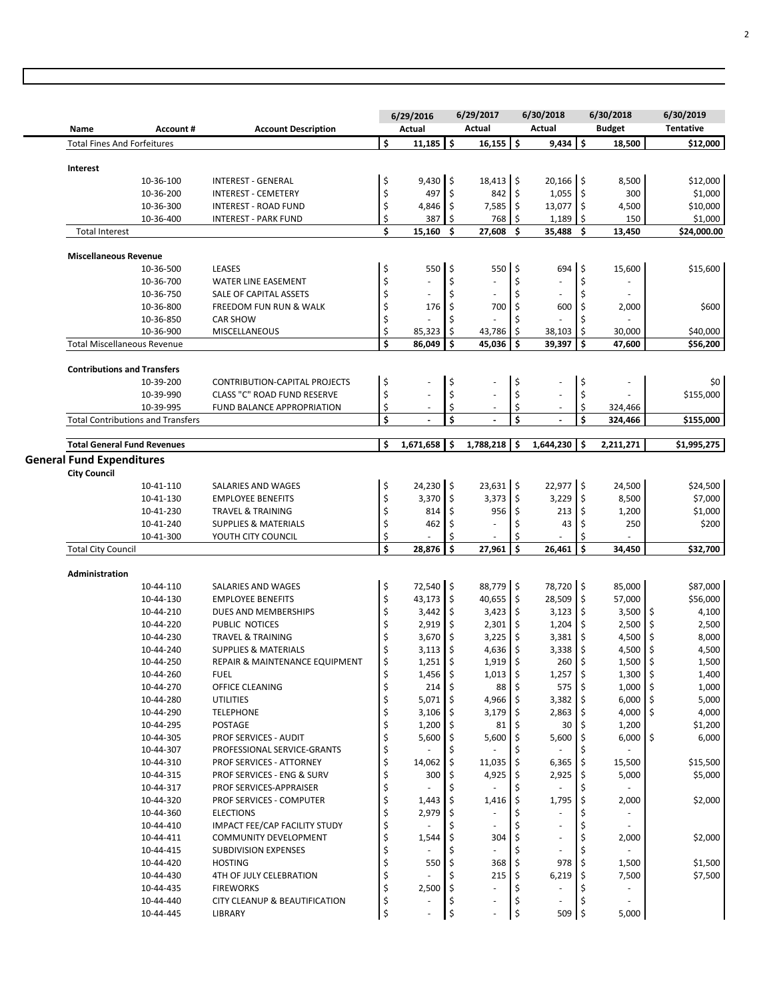|                                                         |                                      |          | 6/29/2016                |                     | 6/29/2017                      | 6/30/2018                              |      | 6/30/2018                | 6/30/2019            |
|---------------------------------------------------------|--------------------------------------|----------|--------------------------|---------------------|--------------------------------|----------------------------------------|------|--------------------------|----------------------|
| <b>Name</b><br>Account#                                 | <b>Account Description</b>           |          | Actual                   |                     | Actual                         | Actual                                 |      | <b>Budget</b>            | <b>Tentative</b>     |
| <b>Total Fines And Forfeitures</b>                      |                                      | \$       | 11,185                   | \$                  | \$<br>16,155                   | 9,434                                  | ۱\$  | 18,500                   | \$12,000             |
| Interest                                                |                                      |          |                          |                     |                                |                                        |      |                          |                      |
| 10-36-100                                               | <b>INTEREST - GENERAL</b>            | \$       | 9,430                    | $\vert$ \$          | $18,413$ \$                    | $20,166$ \$                            |      | 8,500                    | \$12,000             |
| 10-36-200                                               | <b>INTEREST - CEMETERY</b>           | \$       | 497                      | \$                  | 842<br>Ŝ.                      | $1,055$ \$                             |      | 300                      | \$1,000              |
| 10-36-300                                               | <b>INTEREST - ROAD FUND</b>          | \$       | 4,846                    | \$                  | \$<br>7,585                    | 13,077 \$                              |      | 4,500                    | \$10,000             |
| 10-36-400                                               | <b>INTEREST - PARK FUND</b>          | \$       | 387                      | \$                  | 768<br>\$                      | $1,189$ \$                             |      | 150                      | \$1,000              |
| <b>Total Interest</b>                                   |                                      | \$       | 15,160                   | Ś                   | \$<br>27,608                   | 35,488                                 | Ŝ.   | 13,450                   | \$24,000.00          |
| <b>Miscellaneous Revenue</b>                            |                                      |          |                          |                     |                                |                                        |      |                          |                      |
| 10-36-500                                               | LEASES                               | \$       | 550                      | l \$                | $\zeta$<br>550                 | 694                                    | ۱\$  | 15,600                   | \$15,600             |
| 10-36-700                                               | WATER LINE EASEMENT                  | \$       |                          | \$                  | \$                             | $\bar{a}$                              | \$   | ä,                       |                      |
| 10-36-750                                               | SALE OF CAPITAL ASSETS               | \$       | $\omega$                 | \$                  | \$<br>$\bar{a}$                | ÷,                                     | \$   |                          |                      |
| 10-36-800                                               | FREEDOM FUN RUN & WALK               | \$       | 176                      | \$                  | 700<br>\$                      | 600                                    | \$   | 2,000                    | \$600                |
| 10-36-850                                               | <b>CAR SHOW</b>                      | \$       |                          | Ś                   | Ś                              |                                        |      |                          |                      |
| 10-36-900                                               | MISCELLANEOUS                        | \$       | 85,323                   | \$                  | 43,786<br>\$                   | 38,103                                 | ۱\$  | 30,000                   | \$40,000             |
| <b>Total Miscellaneous Revenue</b>                      |                                      | \$       | 86,049                   | Ś                   | Ś<br>45,036                    | 39,397                                 | Ś    | 47,600                   | \$56,200             |
|                                                         |                                      |          |                          |                     |                                |                                        |      |                          |                      |
| <b>Contributions and Transfers</b><br>10-39-200         | <b>CONTRIBUTION-CAPITAL PROJECTS</b> | \$       |                          | \$                  | \$                             |                                        | \$   |                          | \$0                  |
| 10-39-990                                               | CLASS "C" ROAD FUND RESERVE          | \$       |                          | \$                  | \$                             |                                        | \$   |                          | \$155,000            |
| 10-39-995                                               | FUND BALANCE APPROPRIATION           | \$       |                          |                     | $\overline{\phantom{a}}$       | $\overline{\phantom{a}}$               | \$   | 324,466                  |                      |
| <b>Total Contributions and Transfers</b>                |                                      | \$       |                          | \$                  | \$                             |                                        | Ś    | 324,466                  | \$155,000            |
|                                                         |                                      |          |                          |                     |                                |                                        |      |                          |                      |
| <b>Total General Fund Revenues</b>                      |                                      | \$       | 1,671,658                | \$                  | Ś.<br>1,788,218                | 1,644,230                              | l s  | 2,211,271                | \$1,995,275          |
| <b>General Fund Expenditures</b><br><b>City Council</b> |                                      |          |                          |                     |                                |                                        |      |                          |                      |
| 10-41-110                                               | SALARIES AND WAGES                   | \$       | $24,230$ \$              |                     | $23,631$ \$                    | $22,977$ \$                            |      | 24,500                   | \$24,500             |
| 10-41-130                                               | <b>EMPLOYEE BENEFITS</b>             | \$       | 3,370                    | \$                  | 3,373<br>\$ ا                  | 3,229                                  | ۱\$  | 8,500                    | \$7,000              |
| 10-41-230                                               | <b>TRAVEL &amp; TRAINING</b>         | \$       | 814                      | \$                  | 956<br>\$                      | $213 \,$ \$                            |      | 1,200                    | \$1,000              |
| 10-41-240                                               | <b>SUPPLIES &amp; MATERIALS</b>      | \$       | 462                      |                     | Ś                              | 43                                     | Ś    | 250                      | \$200                |
| 10-41-300                                               | YOUTH CITY COUNCIL                   | \$       |                          | \$                  |                                |                                        | \$   |                          |                      |
| <b>Total City Council</b>                               |                                      | \$       | 28,876                   | \$                  | Ś<br>27,961                    | 26,461                                 | Ś    | 34,450                   | \$32,700             |
|                                                         |                                      |          |                          |                     |                                |                                        |      |                          |                      |
| <b>Administration</b><br>10-44-110                      | SALARIES AND WAGES                   | \$       | 72,540 \$                |                     | 88,779 \$                      | 78,720 \$                              |      | 85,000                   | \$87,000             |
| 10-44-130                                               | <b>EMPLOYEE BENEFITS</b>             | \$       | 43,173                   | $\ddot{\mathsf{S}}$ | $40,655$ \$                    | 28,509 \$                              |      | 57,000                   | \$56,000             |
| 10-44-210                                               | DUES AND MEMBERSHIPS                 | \$       | 3,442                    | \$                  | $3,423$ \$                     | $3,123$ \$                             |      | 3,500                    | \$<br>4,100          |
| 10-44-220                                               | PUBLIC NOTICES                       | \$       | 2,919                    | \$                  | 2,301<br>\$                    | $1,204$ \$                             |      | 2,500                    | \$<br>2,500          |
| 10-44-230                                               | <b>TRAVEL &amp; TRAINING</b>         | \$       | 3,670                    | \$                  | \$<br>3,225                    | 3,381                                  | I\$  | 4,500                    | \$<br>8,000          |
| 10-44-240                                               | <b>SUPPLIES &amp; MATERIALS</b>      | \$       | 3,113                    | \$                  | 4,636<br>\$                    | $3,338$ \$                             |      | 4,500                    | \$<br>4,500          |
| 10-44-250                                               | REPAIR & MAINTENANCE EQUIPMENT       |          | $1,251$ \$               |                     | $1,919$ \$                     | 260 \$                                 |      | 1,500                    | 1,500                |
| 10-44-260                                               | <b>FUEL</b>                          | Ş<br>\$  | $1,456$ \$               |                     | $1,013$ \$                     | $1,257$ \$                             |      | 1,300                    | l ><br>  \$<br>1,400 |
| 10-44-270                                               | OFFICE CLEANING                      | \$       | 214                      |                     | $88 \,$ \$                     | $575$ \$                               |      | 1,000                    | 1,000<br>\$          |
| 10-44-280                                               | <b>UTILITIES</b>                     | \$       | $5,071$ \$               |                     | 4,966 \$                       | $3,382$ \$                             |      | 6,000                    | 5,000<br>\$          |
| 10-44-290                                               | <b>TELEPHONE</b>                     | \$       | $3,106$ \$               |                     | $3,179$ \$                     | $2,863$ \$                             |      | 4,000                    | \$<br>4,000          |
| 10-44-295                                               | POSTAGE                              | \$       | $1,200$ \$               |                     | 81                             | $30 \mid 5$                            |      | 1,200                    | \$1,200              |
| 10-44-305                                               | PROF SERVICES - AUDIT                | \$       | $5,600$ \$               |                     | $5,600$ \$                     | 5,600 \$                               |      | 6,000                    | 6,000<br>\$          |
| 10-44-307                                               | PROFESSIONAL SERVICE-GRANTS          | \$       |                          | \$                  | \$                             |                                        | \$   |                          |                      |
| 10-44-310                                               | PROF SERVICES - ATTORNEY             | \$       | 14,062                   | \$                  | $11,035$ \$                    | $6,365$ \$                             |      | 15,500                   | \$15,500             |
| 10-44-315                                               | PROF SERVICES - ENG & SURV           | \$       | 300                      |                     | $4,925$ \$                     | $2,925$ \$                             |      | 5,000                    | \$5,000              |
| 10-44-317                                               | PROF SERVICES-APPRAISER              | \$       | $\overline{\phantom{a}}$ | \$                  | \$<br>$\blacksquare$           | $\overline{\phantom{a}}$               | \$   |                          |                      |
| 10-44-320                                               | PROF SERVICES - COMPUTER             | \$       | 1,443                    | \$                  | 1,416<br>\$                    | $1,795$ \$                             |      | 2,000                    | \$2,000              |
| 10-44-360                                               | <b>ELECTIONS</b>                     | \$       | 2,979                    | -\$                 | \$<br>$\overline{\phantom{a}}$ | $\overline{\phantom{a}}$               | \$   |                          |                      |
| 10-44-410                                               | IMPACT FEE/CAP FACILITY STUDY        | \$       |                          |                     | $\overline{\phantom{a}}$       | $\overline{\phantom{a}}$               | \$   |                          |                      |
| 10-44-411                                               | COMMUNITY DEVELOPMENT                | \$       | 1,544                    | \$                  | 304                            | ÷                                      |      | 2,000                    | \$2,000              |
|                                                         | SUBDIVISION EXPENSES                 | \$       |                          |                     |                                |                                        |      |                          |                      |
|                                                         |                                      |          |                          |                     |                                |                                        |      |                          |                      |
| 10-44-415                                               | <b>HOSTING</b>                       |          |                          |                     |                                |                                        | I \$ |                          |                      |
| 10-44-420<br>10-44-430                                  | 4TH OF JULY CELEBRATION              | \$<br>\$ | 550                      |                     | 368<br>215                     | 978                                    |      | 1,500                    |                      |
| 10-44-435                                               | <b>FIREWORKS</b>                     |          | 2,500                    |                     |                                | $6,219$ \$<br>$\overline{\phantom{a}}$ |      | 7,500                    | \$1,500<br>\$7,500   |
| 10-44-440                                               | CITY CLEANUP & BEAUTIFICATION        | \$       |                          |                     | $\overline{\phantom{a}}$       | $\overline{\phantom{a}}$               |      | $\overline{\phantom{a}}$ |                      |
| 10-44-445                                               | LIBRARY                              | \$<br>\$ |                          | \$                  | \$                             | $509$ \$                               |      | 5,000                    |                      |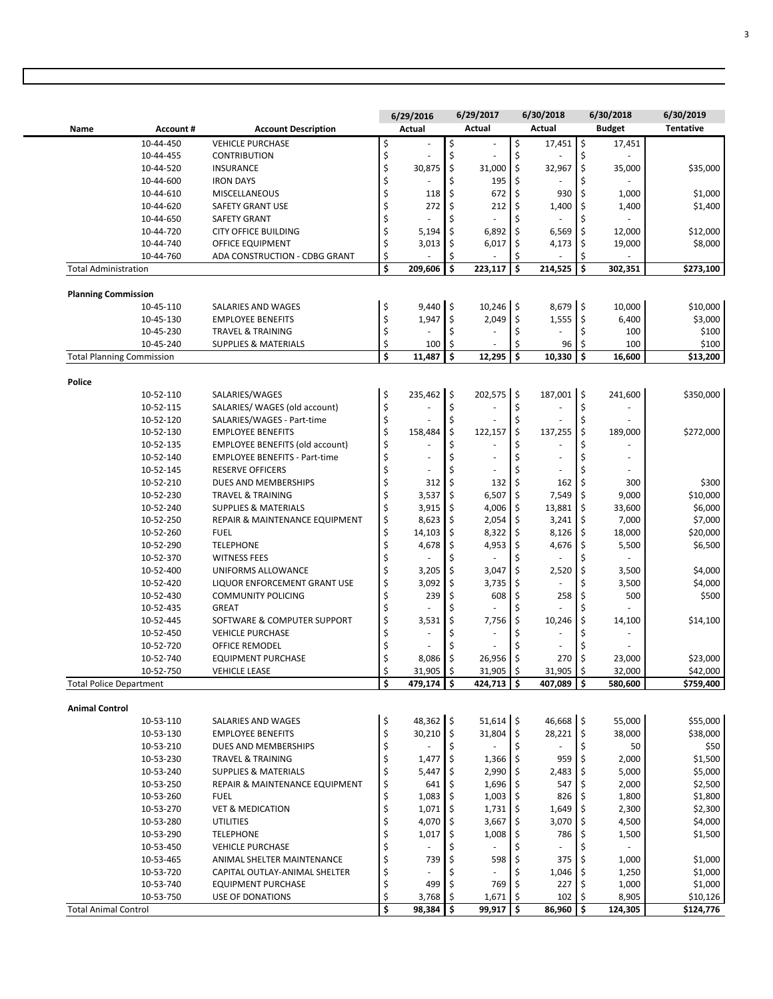|                                |                                  |                                                      |          | 6/29/2016         |                      | 6/29/2017                   |              | 6/30/2018         |            | 6/30/2018                | 6/30/2019             |
|--------------------------------|----------------------------------|------------------------------------------------------|----------|-------------------|----------------------|-----------------------------|--------------|-------------------|------------|--------------------------|-----------------------|
| Name                           | Account#                         | <b>Account Description</b>                           |          | Actual            |                      | Actual                      |              | Actual            |            | <b>Budget</b>            | <b>Tentative</b>      |
|                                | 10-44-450                        | <b>VEHICLE PURCHASE</b>                              | \$       | ä,                | \$                   |                             | \$           | 17,451            | \$         | 17,451                   |                       |
|                                | 10-44-455                        | <b>CONTRIBUTION</b>                                  | \$       |                   | \$                   |                             | \$           |                   | \$         |                          |                       |
|                                | 10-44-520                        | <b>INSURANCE</b>                                     | \$       | 30,875            | \$                   | 31,000                      | \$           | 32,967            | \$         | 35,000                   | \$35,000              |
|                                | 10-44-600                        | <b>IRON DAYS</b>                                     | \$       |                   | \$                   | 195                         | \$           |                   | \$         |                          |                       |
|                                | 10-44-610                        | MISCELLANEOUS                                        | \$       | 118               | \$                   | 672                         | \$           | 930               | \$         | 1,000                    | \$1,000               |
|                                | 10-44-620                        | <b>SAFETY GRANT USE</b>                              | \$       | 272               | \$                   | 212                         | \$           | 1,400             | \$         | 1,400                    | \$1,400               |
|                                | 10-44-650                        | <b>SAFETY GRANT</b>                                  | \$       |                   | \$                   |                             | Ś            |                   | \$         |                          |                       |
|                                | 10-44-720                        | <b>CITY OFFICE BUILDING</b>                          | \$       | 5,194             | \$                   | 6,892                       | \$           | 6,569             | \$         | 12,000                   | \$12,000              |
|                                | 10-44-740                        | OFFICE EQUIPMENT                                     | \$       | 3,013             | \$                   | 6,017                       | \$           | 4,173             | \$         | 19,000                   | \$8,000               |
|                                | 10-44-760                        | ADA CONSTRUCTION - CDBG GRANT                        | \$       |                   | Ś                    |                             | Ś            |                   | \$         |                          |                       |
| <b>Total Administration</b>    |                                  |                                                      | \$       | 209,606           | \$                   | 223,117                     | $\mathsf{s}$ | 214,525           | \$         | 302,351                  | \$273,100             |
|                                |                                  |                                                      |          |                   |                      |                             |              |                   |            |                          |                       |
| <b>Planning Commission</b>     |                                  |                                                      |          |                   |                      |                             |              |                   |            |                          |                       |
|                                | 10-45-110                        | SALARIES AND WAGES                                   | \$       | $9,440$ \$        |                      | 10,246 \$                   |              | 8,679 \$          |            | 10,000                   | \$10,000              |
|                                | 10-45-130                        | <b>EMPLOYEE BENEFITS</b>                             | \$       | 1,947             | \$                   | 2,049                       | \$           | 1,555             | \$         | 6,400                    | \$3,000               |
|                                | 10-45-230                        | <b>TRAVEL &amp; TRAINING</b>                         | \$       |                   | \$                   |                             | \$           |                   | \$         | 100                      | \$100                 |
|                                | 10-45-240                        | <b>SUPPLIES &amp; MATERIALS</b>                      | \$       | 100               | \$                   |                             | Ś            | 96                | \$         | 100                      | \$100                 |
|                                | <b>Total Planning Commission</b> |                                                      | \$       | 11,487            | Ś                    | 12,295                      | \$           | 10,330            | Ś          | 16,600                   | \$13,200              |
| Police                         |                                  |                                                      |          |                   |                      |                             |              |                   |            |                          |                       |
|                                | 10-52-110                        | SALARIES/WAGES                                       | \$       | 235,462 \$        |                      | $202,575$ \$                |              | 187,001 \$        |            | 241,600                  | \$350,000             |
|                                | 10-52-115                        | SALARIES/ WAGES (old account)                        | \$       |                   | \$                   |                             | \$           |                   | \$         |                          |                       |
|                                | 10-52-120                        | SALARIES/WAGES - Part-time                           | \$       |                   | \$                   |                             | \$           |                   | \$         |                          |                       |
|                                | 10-52-130                        | <b>EMPLOYEE BENEFITS</b>                             | \$       | 158,484           | \$                   | 122,157                     | \$           | 137,255           | \$         | 189,000                  | \$272,000             |
|                                | 10-52-135                        | <b>EMPLOYEE BENEFITS (old account)</b>               | \$       |                   | \$                   | $\sim$                      | Ś            |                   | Ś          |                          |                       |
|                                | 10-52-140                        | <b>EMPLOYEE BENEFITS - Part-time</b>                 | \$       |                   | \$                   |                             | Ś            |                   | \$         |                          |                       |
|                                | 10-52-145                        | <b>RESERVE OFFICERS</b>                              | \$       |                   | Ś                    |                             |              |                   | \$         |                          |                       |
|                                | 10-52-210                        | DUES AND MEMBERSHIPS                                 | \$       | 312               | \$                   | 132                         | Ś            | 162               | \$         | 300                      | \$300                 |
|                                | 10-52-230                        | <b>TRAVEL &amp; TRAINING</b>                         | \$       | 3,537             | \$                   | 6,507                       | \$           | 7,549             | \$         | 9,000                    | \$10,000              |
|                                | 10-52-240                        | <b>SUPPLIES &amp; MATERIALS</b>                      | \$       | 3,915             | \$                   | 4,006                       | \$           | 13,881            | \$         | 33,600                   | \$6,000               |
|                                | 10-52-250                        | REPAIR & MAINTENANCE EQUIPMENT                       | \$       | 8,623             | \$                   | 2,054                       | \$           | 3,241             | \$         | 7,000                    | \$7,000               |
|                                | 10-52-260                        | <b>FUEL</b>                                          | \$       | 14,103            | \$                   | 8,322                       | \$           | 8,126             | \$         | 18,000                   | \$20,000              |
|                                | 10-52-290                        | <b>TELEPHONE</b>                                     | \$       | 4,678             | \$                   | 4,953                       | \$           | 4,676             | \$         | 5,500                    | \$6,500               |
|                                | 10-52-370                        | <b>WITNESS FEES</b>                                  | \$       |                   | \$                   |                             | Ś            |                   | \$         |                          |                       |
|                                | 10-52-400                        | UNIFORMS ALLOWANCE                                   | \$       | 3,205             | \$                   | 3,047                       | \$           | 2,520             | \$         |                          | \$4,000               |
|                                | 10-52-420                        | LIQUOR ENFORCEMENT GRANT USE                         | \$       | 3,092             | \$                   | 3,735                       | \$           |                   | Ś          | 3,500<br>3,500           | \$4,000               |
|                                |                                  |                                                      |          |                   |                      |                             |              |                   |            |                          |                       |
|                                | 10-52-430<br>10-52-435           | <b>COMMUNITY POLICING</b><br><b>GREAT</b>            | \$<br>\$ | 239               | \$                   | 608                         | \$<br>Ś      | 258               | \$<br>\$   | 500                      | \$500                 |
|                                |                                  | SOFTWARE & COMPUTER SUPPORT                          | \$       | 3,531             | \$                   | 7,756                       | Ś            | 10,246            | \$         |                          | \$14,100              |
|                                | 10-52-445                        |                                                      |          |                   |                      |                             |              |                   |            | 14,100                   |                       |
|                                | 10-52-450                        | <b>VEHICLE PURCHASE</b>                              | \$       |                   |                      |                             | Ś            |                   | Ś          |                          |                       |
|                                | 10-52-720                        | <b>OFFICE REMODEL</b>                                | \$       |                   | \$                   |                             | \$           |                   | \$         |                          |                       |
|                                | 10-52-740                        | <b>EQUIPMENT PURCHASE</b>                            |          | 8,086             | \$                   | 26,956                      |              | 270               | \$         | 23,000                   | \$23,000              |
|                                | 10-52-750                        | <b>VEHICLE LEASE</b>                                 | \$<br>Ś  | 31,905<br>479,174 | $\frac{1}{2}$<br>\$. | $31,905$ \$<br>$424,713$ \$ |              | 31,905<br>407,089 | \$<br>Ś.   | 32,000<br>580,600        | \$42,000<br>\$759,400 |
| <b>Total Police Department</b> |                                  |                                                      |          |                   |                      |                             |              |                   |            |                          |                       |
| <b>Animal Control</b>          |                                  |                                                      |          |                   |                      |                             |              |                   |            |                          |                       |
|                                | 10-53-110                        | SALARIES AND WAGES                                   | \$       | 48,362 \$         |                      | $51,614$ \$                 |              | 46,668 \$         |            | 55,000                   | \$55,000              |
|                                | 10-53-130                        | <b>EMPLOYEE BENEFITS</b>                             | \$       | 30,210            | $\frac{1}{2}$        | $31,804$ \$                 |              | 28,221            | \$         | 38,000                   | \$38,000              |
|                                | 10-53-210                        | DUES AND MEMBERSHIPS                                 | \$       |                   | \$                   |                             | \$           |                   | \$         | 50                       | \$50                  |
|                                | 10-53-230                        | <b>TRAVEL &amp; TRAINING</b>                         | \$       | 1,477             | \$                   | 1,366                       | -\$          | 959               | \$         | 2,000                    | \$1,500               |
|                                | 10-53-240                        | <b>SUPPLIES &amp; MATERIALS</b>                      | \$       | 5,447             | \$                   | 2,990                       | -\$          | 2,483             | \$.        | 5,000                    | \$5,000               |
|                                | 10-53-250                        | REPAIR & MAINTENANCE EQUIPMENT                       | \$       | 641               | \$                   | 1,696                       | \$.          | 547               | \$         | 2,000                    | \$2,500               |
|                                | 10-53-260                        | <b>FUEL</b>                                          | \$       | 1,083             | \$                   | 1,003                       | -\$          | 826               | \$         | 1,800                    | \$1,800               |
|                                | 10-53-270                        | <b>VET &amp; MEDICATION</b>                          | \$       | 1,071             | \$                   | 1,731                       | \$           | 1,649             | \$         | 2,300                    | \$2,300               |
|                                | 10-53-280                        | <b>UTILITIES</b>                                     | \$       | 4,070             | \$                   | 3,667                       | \$.          | 3,070             | \$         | 4,500                    | \$4,000               |
|                                | 10-53-290                        | <b>TELEPHONE</b>                                     | \$       | 1,017             | \$                   | 1,008                       | \$           | 786               | \$         | 1,500                    | \$1,500               |
|                                | 10-53-450                        | <b>VEHICLE PURCHASE</b>                              | \$       |                   | \$                   |                             | \$           |                   | \$         | $\overline{\phantom{a}}$ |                       |
|                                |                                  |                                                      | \$       | 739               |                      | 598                         |              | 375               | \$         | 1,000                    | \$1,000               |
|                                |                                  |                                                      |          |                   |                      |                             |              |                   |            |                          |                       |
|                                | 10-53-465                        | ANIMAL SHELTER MAINTENANCE                           |          |                   |                      |                             |              |                   |            |                          |                       |
|                                | 10-53-720                        | CAPITAL OUTLAY-ANIMAL SHELTER                        | \$       |                   |                      |                             | \$           | 1,046             | \$         | 1,250                    | \$1,000               |
|                                | 10-53-740<br>10-53-750           | <b>EQUIPMENT PURCHASE</b><br><b>USE OF DONATIONS</b> | \$<br>\$ | 499<br>3,768      | \$<br>\$             | 769<br>1,671                | \$<br>\$     | 227<br>102        | \$.<br>\$. | 1,000<br>8,905           | \$1,000<br>\$10,126   |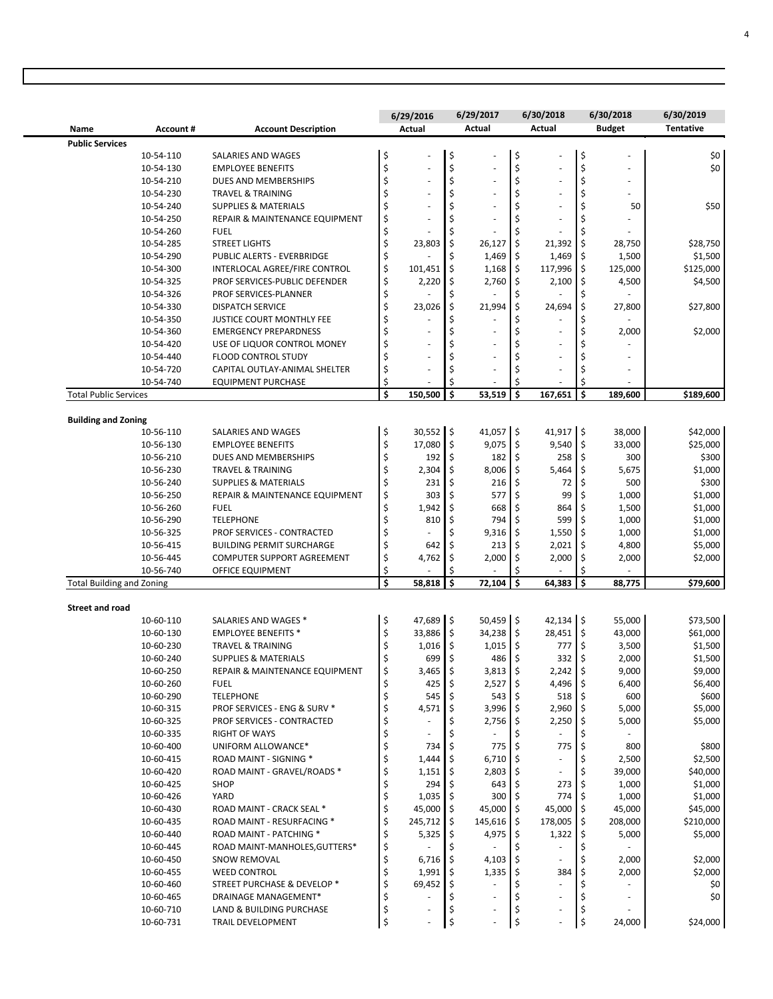|                                  |           |                                  | 6/29/2016                      |     | 6/29/2017     |         | 6/30/2018                |            | 6/30/2018     | 6/30/2019        |
|----------------------------------|-----------|----------------------------------|--------------------------------|-----|---------------|---------|--------------------------|------------|---------------|------------------|
| Name                             | Account#  | <b>Account Description</b>       | Actual                         |     | <b>Actual</b> |         | Actual                   |            | <b>Budget</b> | <b>Tentative</b> |
| <b>Public Services</b>           |           |                                  |                                |     |               |         |                          |            |               |                  |
|                                  | 10-54-110 | SALARIES AND WAGES               | \$<br>$\overline{\phantom{a}}$ | \$  |               | \$      |                          | \$         |               | \$0              |
|                                  | 10-54-130 | <b>EMPLOYEE BENEFITS</b>         | \$                             | \$  |               | \$      |                          | \$         |               | \$0              |
|                                  | 10-54-210 | DUES AND MEMBERSHIPS             | \$<br>$\sim$                   | \$  |               | \$      | $\sim$                   | \$         |               |                  |
|                                  | 10-54-230 | <b>TRAVEL &amp; TRAINING</b>     | \$                             | \$  |               | \$      | $\sim$                   |            |               |                  |
|                                  | 10-54-240 | <b>SUPPLIES &amp; MATERIALS</b>  | \$                             | \$  |               | \$      |                          |            | 50            | \$50             |
|                                  | 10-54-250 | REPAIR & MAINTENANCE EQUIPMENT   | \$<br>$\sim$                   | Ś   |               | \$      |                          |            |               |                  |
|                                  | 10-54-260 | <b>FUEL</b>                      | \$                             |     |               | \$      |                          |            |               |                  |
|                                  | 10-54-285 | <b>STREET LIGHTS</b>             | \$<br>23,803                   | \$  | 26,127        | \$      | 21,392                   | -\$        | 28,750        | \$28,750         |
|                                  | 10-54-290 | PUBLIC ALERTS - EVERBRIDGE       | \$                             | Ś   | 1,469         | \$      | 1,469                    | \$         | 1,500         | \$1,500          |
|                                  | 10-54-300 | INTERLOCAL AGREE/FIRE CONTROL    | \$<br>101,451                  | \$  | 1,168         | \$      | 117,996                  | \$         | 125,000       | \$125,000        |
|                                  | 10-54-325 | PROF SERVICES-PUBLIC DEFENDER    | \$<br>2,220                    | \$  | 2,760         | \$      | 2,100                    | -\$        | 4,500         | \$4,500          |
|                                  | 10-54-326 | PROF SERVICES-PLANNER            | \$                             | \$  |               | \$      |                          |            |               |                  |
|                                  | 10-54-330 | <b>DISPATCH SERVICE</b>          | \$<br>23,026                   | Ś   | 21,994        | \$      | 24,694                   | \$         | 27,800        | \$27,800         |
|                                  | 10-54-350 | <b>JUSTICE COURT MONTHLY FEE</b> | \$                             | \$  |               | \$      |                          |            |               |                  |
|                                  | 10-54-360 | <b>EMERGENCY PREPARDNESS</b>     | \$<br>$\overline{\phantom{a}}$ | \$  |               | \$      |                          |            | 2,000         | \$2,000          |
|                                  | 10-54-420 | USE OF LIQUOR CONTROL MONEY      | \$                             | Ś   |               | \$      |                          |            |               |                  |
|                                  | 10-54-440 | <b>FLOOD CONTROL STUDY</b>       | \$                             | \$  |               | \$      |                          |            |               |                  |
|                                  | 10-54-720 | CAPITAL OUTLAY-ANIMAL SHELTER    | \$<br>$\sim$                   | \$  |               | \$      |                          |            |               |                  |
|                                  | 10-54-740 | <b>EQUIPMENT PURCHASE</b>        | \$                             | Ś   |               | \$      |                          | \$         |               |                  |
| <b>Total Public Services</b>     |           |                                  | \$<br>150,500                  | \$  | 53,519        | \$      | 167,651                  | \$         | 189,600       | \$189,600        |
| <b>Building and Zoning</b>       |           |                                  |                                |     |               |         |                          |            |               |                  |
|                                  | 10-56-110 | SALARIES AND WAGES               | \$<br>$30,552$ \$              |     | 41,057 \$     |         | $41,917$ \$              |            | 38,000        | \$42,000         |
|                                  | 10-56-130 | <b>EMPLOYEE BENEFITS</b>         | \$<br>17,080                   | \$  | 9,075         | \$      | 9,540                    | ۱\$        | 33,000        | \$25,000         |
|                                  | 10-56-210 | DUES AND MEMBERSHIPS             | \$<br>192                      | \$  | 182           | \$      | 258                      | -\$        | 300           | \$300            |
|                                  | 10-56-230 | <b>TRAVEL &amp; TRAINING</b>     | \$<br>2,304                    | \$  | 8,006         | \$      | 5,464                    | \$         | 5,675         | \$1,000          |
|                                  | 10-56-240 | <b>SUPPLIES &amp; MATERIALS</b>  | \$<br>231                      | Ś   | 216           | \$      | 72                       |            | 500           | \$300            |
|                                  | 10-56-250 | REPAIR & MAINTENANCE EQUIPMENT   | \$<br>303                      | \$  | 577           | \$      | 99                       | .s         | 1,000         | \$1,000          |
|                                  | 10-56-260 | <b>FUEL</b>                      | \$<br>1,942                    | \$  | 668           | \$      | 864                      | \$         | 1,500         | \$1,000          |
|                                  | 10-56-290 | <b>TELEPHONE</b>                 | \$<br>810                      | \$  | 794           | \$      | 599                      | \$         | 1,000         | \$1,000          |
|                                  | 10-56-325 | PROF SERVICES - CONTRACTED       | \$                             | \$  | 9,316         | \$      | 1,550                    | -\$        | 1,000         | \$1,000          |
|                                  | 10-56-415 | <b>BUILDING PERMIT SURCHARGE</b> | \$<br>642                      | \$  | 213           | \$      | 2,021                    |            | 4,800         | \$5,000          |
|                                  | 10-56-445 | COMPUTER SUPPORT AGREEMENT       | \$<br>4,762                    | \$  | 2,000         | \$      | 2,000                    | -\$        | 2,000         | \$2,000          |
|                                  | 10-56-740 | OFFICE EQUIPMENT                 | \$                             |     |               | \$      |                          |            |               |                  |
| <b>Total Building and Zoning</b> |           |                                  | \$<br>58,818                   | \$  | 72,104        | \$      | 64,383                   | \$         | 88,775        | \$79,600         |
| <b>Street and road</b>           |           |                                  |                                |     |               |         |                          |            |               |                  |
|                                  | 10-60-110 | SALARIES AND WAGES *             | \$<br>47,689                   | I\$ | $50,459$ \$   |         | $42,134$ \$              |            | 55,000        | \$73,500         |
|                                  | 10-60-130 | <b>EMPLOYEE BENEFITS *</b>       | \$<br>33,886                   | \$  | 34,238        | \$      | 28,451                   | ۱\$        | 43,000        | \$61,000         |
|                                  | 10-60-230 | <b>TRAVEL &amp; TRAINING</b>     | \$<br>1,016                    | l\$ | $1,015$ \$    |         | 777                      | -\$        | 3,500         | \$1,500          |
|                                  | 10-60-240 | <b>SUPPLIES &amp; MATERIALS</b>  | 699                            | Ś   | 486           | $\zeta$ | 332                      |            | 2,000         | \$1,500          |
|                                  | 10-60-250 | REPAIR & MAINTENANCE EQUIPMENT   | \$<br>3,465                    | \$  | 3,813         | \$      | 2,242                    | $\sqrt{ }$ | 9,000         | \$9,000          |
|                                  | 10-60-260 | <b>FUEL</b>                      | \$<br>425                      | \$  | 2,527         | I\$     | 4,496 \$                 |            | 6,400         | \$6,400          |
|                                  | 10-60-290 | <b>TELEPHONE</b>                 | \$<br>545                      | \$  | 543           | \$      | 518                      | ۱\$        | 600           | \$600            |
|                                  | 10-60-315 | PROF SERVICES - ENG & SURV *     | \$<br>4,571                    | Ś   | 3,996         | \$      | 2,960                    | ا \$       | 5,000         | \$5,000          |
|                                  | 10-60-325 | PROF SERVICES - CONTRACTED       | \$                             | \$  | 2,756         | \$      | 2,250                    | -\$        | 5,000         | \$5,000          |
|                                  | 10-60-335 | <b>RIGHT OF WAYS</b>             | \$                             |     |               | \$      |                          |            |               |                  |
|                                  | 10-60-400 | UNIFORM ALLOWANCE*               | \$<br>734                      |     | 775           | \$      | 775                      |            | 800           | \$800            |
|                                  | 10-60-415 | ROAD MAINT - SIGNING *           | \$<br>1,444                    | \$  | 6,710         | \$      |                          |            | 2,500         | \$2,500          |
|                                  | 10-60-420 | ROAD MAINT - GRAVEL/ROADS *      | \$<br>1,151                    | \$  | 2,803         | \$      |                          |            | 39,000        | \$40,000         |
|                                  | 10-60-425 | <b>SHOP</b>                      | \$<br>294                      |     | 643           |         | 273                      |            | 1,000         | \$1,000          |
|                                  | 10-60-426 | YARD                             | \$<br>1,035                    | \$  | 300           | \$.     | 774                      |            | 1,000         | \$1,000          |
|                                  | 10-60-430 | ROAD MAINT - CRACK SEAL *        | \$<br>45,000                   | \$  | 45,000        | \$      | 45,000                   | ۱\$        | 45,000        | \$45,000         |
|                                  | 10-60-435 | ROAD MAINT - RESURFACING *       | \$<br>245,712                  | \$  | 145,616       | \$      | 178,005                  | \$         | 208,000       | \$210,000        |
|                                  | 10-60-440 | ROAD MAINT - PATCHING *          | \$<br>5,325                    | \$  | 4,975         | \$      | 1,322                    | -\$        | 5,000         | \$5,000          |
|                                  | 10-60-445 | ROAD MAINT-MANHOLES, GUTTERS*    | \$                             | \$  |               | \$      |                          | \$         |               |                  |
|                                  | 10-60-450 | SNOW REMOVAL                     | \$<br>6,716                    | \$  | 4,103         |         |                          |            | 2,000         | \$2,000          |
|                                  | 10-60-455 | <b>WEED CONTROL</b>              | \$<br>1,991                    | \$  | 1,335         | \$      | 384                      |            | 2,000         | \$2,000          |
|                                  | 10-60-460 | STREET PURCHASE & DEVELOP *      | \$<br>69,452                   | \$  |               | \$      |                          |            |               | \$0              |
|                                  | 10-60-465 | DRAINAGE MANAGEMENT*             | \$                             |     |               | \$      | $\overline{\phantom{a}}$ |            | $\sim$        | \$0              |
|                                  | 10-60-710 | LAND & BUILDING PURCHASE         | \$                             | \$  |               | \$      |                          |            |               |                  |
|                                  | 10-60-731 | TRAIL DEVELOPMENT                | \$                             | Ś   |               | \$      |                          | \$         | 24,000        | \$24,000         |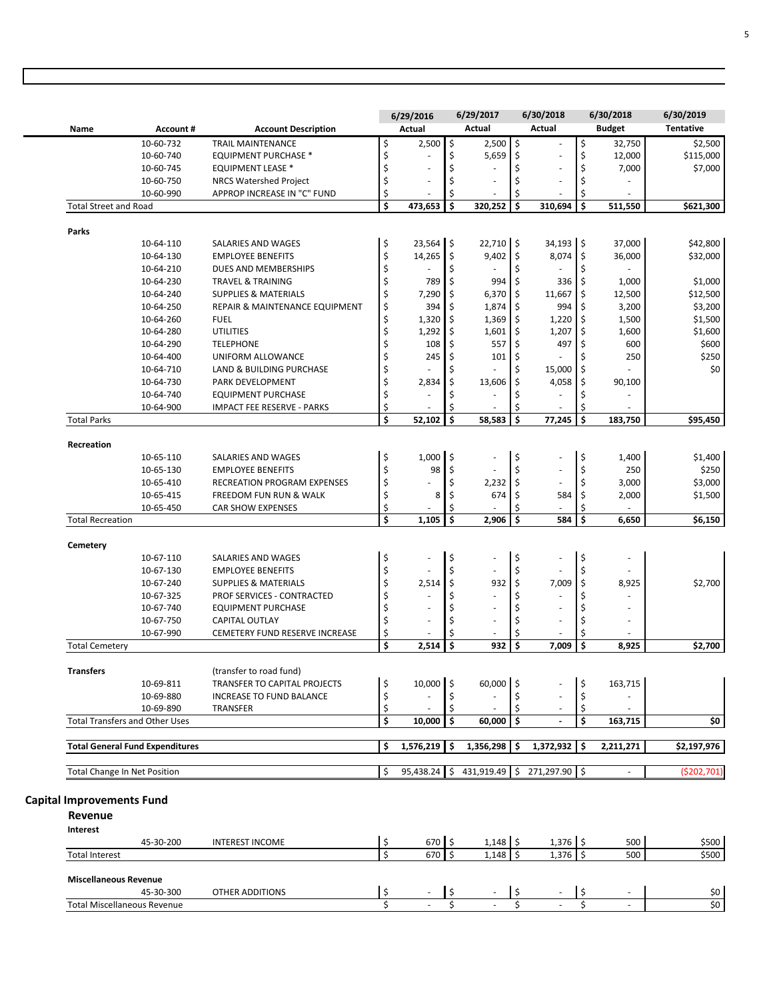|                                        |                                                                                                                                                                                                                                                                                                                                                                                                                                     |                                                                                                                                                                                                                                                                                                                                                                                                                                                                                                                                                                                                                                                                                                                                                                                                                                                                                                          | 6/29/2016                                                                                                                                                                                          |                                                                                                                        | 6/29/2017                                                                                                                                                                      |                                                                                                                     | 6/30/2018                                                                                                                                                            |                                                                                                                    | 6/30/2018                                                                                                                                                                                       | 6/30/2019                                                                                                                                                                 |
|----------------------------------------|-------------------------------------------------------------------------------------------------------------------------------------------------------------------------------------------------------------------------------------------------------------------------------------------------------------------------------------------------------------------------------------------------------------------------------------|----------------------------------------------------------------------------------------------------------------------------------------------------------------------------------------------------------------------------------------------------------------------------------------------------------------------------------------------------------------------------------------------------------------------------------------------------------------------------------------------------------------------------------------------------------------------------------------------------------------------------------------------------------------------------------------------------------------------------------------------------------------------------------------------------------------------------------------------------------------------------------------------------------|----------------------------------------------------------------------------------------------------------------------------------------------------------------------------------------------------|------------------------------------------------------------------------------------------------------------------------|--------------------------------------------------------------------------------------------------------------------------------------------------------------------------------|---------------------------------------------------------------------------------------------------------------------|----------------------------------------------------------------------------------------------------------------------------------------------------------------------|--------------------------------------------------------------------------------------------------------------------|-------------------------------------------------------------------------------------------------------------------------------------------------------------------------------------------------|---------------------------------------------------------------------------------------------------------------------------------------------------------------------------|
| <b>Account#</b>                        | <b>Account Description</b>                                                                                                                                                                                                                                                                                                                                                                                                          |                                                                                                                                                                                                                                                                                                                                                                                                                                                                                                                                                                                                                                                                                                                                                                                                                                                                                                          | Actual                                                                                                                                                                                             |                                                                                                                        | Actual                                                                                                                                                                         |                                                                                                                     | Actual                                                                                                                                                               |                                                                                                                    | <b>Budget</b>                                                                                                                                                                                   | <b>Tentative</b>                                                                                                                                                          |
| 10-60-732                              | <b>TRAIL MAINTENANCE</b>                                                                                                                                                                                                                                                                                                                                                                                                            | \$                                                                                                                                                                                                                                                                                                                                                                                                                                                                                                                                                                                                                                                                                                                                                                                                                                                                                                       | 2,500                                                                                                                                                                                              | $\hat{\mathsf{S}}$                                                                                                     | 2,500                                                                                                                                                                          | \$                                                                                                                  |                                                                                                                                                                      | \$                                                                                                                 | 32,750                                                                                                                                                                                          | \$2,500                                                                                                                                                                   |
| 10-60-740                              | <b>EQUIPMENT PURCHASE *</b>                                                                                                                                                                                                                                                                                                                                                                                                         | \$                                                                                                                                                                                                                                                                                                                                                                                                                                                                                                                                                                                                                                                                                                                                                                                                                                                                                                       |                                                                                                                                                                                                    | \$                                                                                                                     | 5,659                                                                                                                                                                          | \$                                                                                                                  | ٠                                                                                                                                                                    | \$                                                                                                                 | 12,000                                                                                                                                                                                          | \$115,000                                                                                                                                                                 |
|                                        |                                                                                                                                                                                                                                                                                                                                                                                                                                     | \$                                                                                                                                                                                                                                                                                                                                                                                                                                                                                                                                                                                                                                                                                                                                                                                                                                                                                                       | ä,                                                                                                                                                                                                 |                                                                                                                        |                                                                                                                                                                                |                                                                                                                     | ÷,                                                                                                                                                                   |                                                                                                                    |                                                                                                                                                                                                 | \$7,000                                                                                                                                                                   |
| 10-60-750                              |                                                                                                                                                                                                                                                                                                                                                                                                                                     |                                                                                                                                                                                                                                                                                                                                                                                                                                                                                                                                                                                                                                                                                                                                                                                                                                                                                                          | ÷,                                                                                                                                                                                                 |                                                                                                                        | ÷,                                                                                                                                                                             | Ś                                                                                                                   | ÷,                                                                                                                                                                   | \$                                                                                                                 |                                                                                                                                                                                                 |                                                                                                                                                                           |
| 10-60-990                              |                                                                                                                                                                                                                                                                                                                                                                                                                                     |                                                                                                                                                                                                                                                                                                                                                                                                                                                                                                                                                                                                                                                                                                                                                                                                                                                                                                          |                                                                                                                                                                                                    | Ś                                                                                                                      |                                                                                                                                                                                | Ś                                                                                                                   | ٠                                                                                                                                                                    | \$                                                                                                                 | $\sim$                                                                                                                                                                                          |                                                                                                                                                                           |
|                                        |                                                                                                                                                                                                                                                                                                                                                                                                                                     | \$                                                                                                                                                                                                                                                                                                                                                                                                                                                                                                                                                                                                                                                                                                                                                                                                                                                                                                       | 473,653                                                                                                                                                                                            | Ś                                                                                                                      | 320,252                                                                                                                                                                        | Ś                                                                                                                   | 310,694                                                                                                                                                              | \$                                                                                                                 | 511,550                                                                                                                                                                                         | \$621,300                                                                                                                                                                 |
|                                        |                                                                                                                                                                                                                                                                                                                                                                                                                                     |                                                                                                                                                                                                                                                                                                                                                                                                                                                                                                                                                                                                                                                                                                                                                                                                                                                                                                          |                                                                                                                                                                                                    |                                                                                                                        |                                                                                                                                                                                |                                                                                                                     |                                                                                                                                                                      |                                                                                                                    |                                                                                                                                                                                                 |                                                                                                                                                                           |
|                                        |                                                                                                                                                                                                                                                                                                                                                                                                                                     |                                                                                                                                                                                                                                                                                                                                                                                                                                                                                                                                                                                                                                                                                                                                                                                                                                                                                                          |                                                                                                                                                                                                    |                                                                                                                        |                                                                                                                                                                                |                                                                                                                     |                                                                                                                                                                      |                                                                                                                    |                                                                                                                                                                                                 |                                                                                                                                                                           |
|                                        |                                                                                                                                                                                                                                                                                                                                                                                                                                     |                                                                                                                                                                                                                                                                                                                                                                                                                                                                                                                                                                                                                                                                                                                                                                                                                                                                                                          |                                                                                                                                                                                                    |                                                                                                                        |                                                                                                                                                                                |                                                                                                                     |                                                                                                                                                                      |                                                                                                                    |                                                                                                                                                                                                 | \$42,800                                                                                                                                                                  |
|                                        |                                                                                                                                                                                                                                                                                                                                                                                                                                     |                                                                                                                                                                                                                                                                                                                                                                                                                                                                                                                                                                                                                                                                                                                                                                                                                                                                                                          |                                                                                                                                                                                                    |                                                                                                                        |                                                                                                                                                                                |                                                                                                                     |                                                                                                                                                                      |                                                                                                                    |                                                                                                                                                                                                 | \$32,000                                                                                                                                                                  |
|                                        |                                                                                                                                                                                                                                                                                                                                                                                                                                     |                                                                                                                                                                                                                                                                                                                                                                                                                                                                                                                                                                                                                                                                                                                                                                                                                                                                                                          |                                                                                                                                                                                                    |                                                                                                                        |                                                                                                                                                                                |                                                                                                                     |                                                                                                                                                                      |                                                                                                                    |                                                                                                                                                                                                 |                                                                                                                                                                           |
|                                        |                                                                                                                                                                                                                                                                                                                                                                                                                                     |                                                                                                                                                                                                                                                                                                                                                                                                                                                                                                                                                                                                                                                                                                                                                                                                                                                                                                          |                                                                                                                                                                                                    |                                                                                                                        |                                                                                                                                                                                |                                                                                                                     |                                                                                                                                                                      |                                                                                                                    |                                                                                                                                                                                                 | \$1,000                                                                                                                                                                   |
|                                        |                                                                                                                                                                                                                                                                                                                                                                                                                                     |                                                                                                                                                                                                                                                                                                                                                                                                                                                                                                                                                                                                                                                                                                                                                                                                                                                                                                          |                                                                                                                                                                                                    |                                                                                                                        |                                                                                                                                                                                |                                                                                                                     |                                                                                                                                                                      |                                                                                                                    |                                                                                                                                                                                                 | \$12,500                                                                                                                                                                  |
|                                        |                                                                                                                                                                                                                                                                                                                                                                                                                                     |                                                                                                                                                                                                                                                                                                                                                                                                                                                                                                                                                                                                                                                                                                                                                                                                                                                                                                          |                                                                                                                                                                                                    |                                                                                                                        |                                                                                                                                                                                |                                                                                                                     |                                                                                                                                                                      |                                                                                                                    |                                                                                                                                                                                                 | \$3,200                                                                                                                                                                   |
|                                        |                                                                                                                                                                                                                                                                                                                                                                                                                                     |                                                                                                                                                                                                                                                                                                                                                                                                                                                                                                                                                                                                                                                                                                                                                                                                                                                                                                          |                                                                                                                                                                                                    |                                                                                                                        |                                                                                                                                                                                |                                                                                                                     |                                                                                                                                                                      |                                                                                                                    |                                                                                                                                                                                                 | \$1,500                                                                                                                                                                   |
|                                        |                                                                                                                                                                                                                                                                                                                                                                                                                                     |                                                                                                                                                                                                                                                                                                                                                                                                                                                                                                                                                                                                                                                                                                                                                                                                                                                                                                          |                                                                                                                                                                                                    |                                                                                                                        |                                                                                                                                                                                |                                                                                                                     |                                                                                                                                                                      |                                                                                                                    |                                                                                                                                                                                                 | \$1,600                                                                                                                                                                   |
|                                        |                                                                                                                                                                                                                                                                                                                                                                                                                                     |                                                                                                                                                                                                                                                                                                                                                                                                                                                                                                                                                                                                                                                                                                                                                                                                                                                                                                          |                                                                                                                                                                                                    |                                                                                                                        |                                                                                                                                                                                |                                                                                                                     |                                                                                                                                                                      |                                                                                                                    |                                                                                                                                                                                                 | \$600                                                                                                                                                                     |
|                                        |                                                                                                                                                                                                                                                                                                                                                                                                                                     |                                                                                                                                                                                                                                                                                                                                                                                                                                                                                                                                                                                                                                                                                                                                                                                                                                                                                                          |                                                                                                                                                                                                    |                                                                                                                        |                                                                                                                                                                                |                                                                                                                     |                                                                                                                                                                      |                                                                                                                    |                                                                                                                                                                                                 | \$250                                                                                                                                                                     |
|                                        |                                                                                                                                                                                                                                                                                                                                                                                                                                     |                                                                                                                                                                                                                                                                                                                                                                                                                                                                                                                                                                                                                                                                                                                                                                                                                                                                                                          |                                                                                                                                                                                                    |                                                                                                                        |                                                                                                                                                                                |                                                                                                                     |                                                                                                                                                                      |                                                                                                                    |                                                                                                                                                                                                 | \$0                                                                                                                                                                       |
|                                        |                                                                                                                                                                                                                                                                                                                                                                                                                                     |                                                                                                                                                                                                                                                                                                                                                                                                                                                                                                                                                                                                                                                                                                                                                                                                                                                                                                          |                                                                                                                                                                                                    |                                                                                                                        |                                                                                                                                                                                |                                                                                                                     |                                                                                                                                                                      |                                                                                                                    |                                                                                                                                                                                                 |                                                                                                                                                                           |
|                                        |                                                                                                                                                                                                                                                                                                                                                                                                                                     |                                                                                                                                                                                                                                                                                                                                                                                                                                                                                                                                                                                                                                                                                                                                                                                                                                                                                                          |                                                                                                                                                                                                    |                                                                                                                        |                                                                                                                                                                                |                                                                                                                     |                                                                                                                                                                      |                                                                                                                    |                                                                                                                                                                                                 |                                                                                                                                                                           |
|                                        |                                                                                                                                                                                                                                                                                                                                                                                                                                     |                                                                                                                                                                                                                                                                                                                                                                                                                                                                                                                                                                                                                                                                                                                                                                                                                                                                                                          |                                                                                                                                                                                                    |                                                                                                                        |                                                                                                                                                                                |                                                                                                                     |                                                                                                                                                                      |                                                                                                                    |                                                                                                                                                                                                 |                                                                                                                                                                           |
|                                        |                                                                                                                                                                                                                                                                                                                                                                                                                                     |                                                                                                                                                                                                                                                                                                                                                                                                                                                                                                                                                                                                                                                                                                                                                                                                                                                                                                          |                                                                                                                                                                                                    |                                                                                                                        |                                                                                                                                                                                |                                                                                                                     |                                                                                                                                                                      |                                                                                                                    |                                                                                                                                                                                                 | \$95,450                                                                                                                                                                  |
|                                        |                                                                                                                                                                                                                                                                                                                                                                                                                                     |                                                                                                                                                                                                                                                                                                                                                                                                                                                                                                                                                                                                                                                                                                                                                                                                                                                                                                          |                                                                                                                                                                                                    |                                                                                                                        |                                                                                                                                                                                |                                                                                                                     |                                                                                                                                                                      |                                                                                                                    |                                                                                                                                                                                                 |                                                                                                                                                                           |
|                                        |                                                                                                                                                                                                                                                                                                                                                                                                                                     |                                                                                                                                                                                                                                                                                                                                                                                                                                                                                                                                                                                                                                                                                                                                                                                                                                                                                                          |                                                                                                                                                                                                    |                                                                                                                        | $\overline{\phantom{a}}$                                                                                                                                                       |                                                                                                                     |                                                                                                                                                                      |                                                                                                                    |                                                                                                                                                                                                 | \$1,400                                                                                                                                                                   |
|                                        |                                                                                                                                                                                                                                                                                                                                                                                                                                     |                                                                                                                                                                                                                                                                                                                                                                                                                                                                                                                                                                                                                                                                                                                                                                                                                                                                                                          |                                                                                                                                                                                                    |                                                                                                                        | ÷                                                                                                                                                                              |                                                                                                                     | ÷.                                                                                                                                                                   |                                                                                                                    |                                                                                                                                                                                                 | \$250                                                                                                                                                                     |
|                                        |                                                                                                                                                                                                                                                                                                                                                                                                                                     |                                                                                                                                                                                                                                                                                                                                                                                                                                                                                                                                                                                                                                                                                                                                                                                                                                                                                                          | L                                                                                                                                                                                                  |                                                                                                                        |                                                                                                                                                                                |                                                                                                                     | $\overline{a}$                                                                                                                                                       |                                                                                                                    |                                                                                                                                                                                                 | \$3,000                                                                                                                                                                   |
|                                        |                                                                                                                                                                                                                                                                                                                                                                                                                                     |                                                                                                                                                                                                                                                                                                                                                                                                                                                                                                                                                                                                                                                                                                                                                                                                                                                                                                          |                                                                                                                                                                                                    |                                                                                                                        | 674                                                                                                                                                                            |                                                                                                                     |                                                                                                                                                                      |                                                                                                                    |                                                                                                                                                                                                 | \$1,500                                                                                                                                                                   |
|                                        |                                                                                                                                                                                                                                                                                                                                                                                                                                     |                                                                                                                                                                                                                                                                                                                                                                                                                                                                                                                                                                                                                                                                                                                                                                                                                                                                                                          |                                                                                                                                                                                                    | Ś                                                                                                                      |                                                                                                                                                                                | Ś                                                                                                                   | $\overline{\phantom{a}}$                                                                                                                                             |                                                                                                                    |                                                                                                                                                                                                 |                                                                                                                                                                           |
|                                        |                                                                                                                                                                                                                                                                                                                                                                                                                                     | \$                                                                                                                                                                                                                                                                                                                                                                                                                                                                                                                                                                                                                                                                                                                                                                                                                                                                                                       | 1,105                                                                                                                                                                                              | Ś                                                                                                                      | 2,906                                                                                                                                                                          | \$                                                                                                                  | 584                                                                                                                                                                  | \$                                                                                                                 | 6,650                                                                                                                                                                                           | \$6,150                                                                                                                                                                   |
|                                        |                                                                                                                                                                                                                                                                                                                                                                                                                                     |                                                                                                                                                                                                                                                                                                                                                                                                                                                                                                                                                                                                                                                                                                                                                                                                                                                                                                          |                                                                                                                                                                                                    |                                                                                                                        |                                                                                                                                                                                |                                                                                                                     |                                                                                                                                                                      |                                                                                                                    |                                                                                                                                                                                                 |                                                                                                                                                                           |
|                                        |                                                                                                                                                                                                                                                                                                                                                                                                                                     |                                                                                                                                                                                                                                                                                                                                                                                                                                                                                                                                                                                                                                                                                                                                                                                                                                                                                                          |                                                                                                                                                                                                    |                                                                                                                        |                                                                                                                                                                                |                                                                                                                     |                                                                                                                                                                      |                                                                                                                    |                                                                                                                                                                                                 |                                                                                                                                                                           |
| 10-67-110                              | SALARIES AND WAGES                                                                                                                                                                                                                                                                                                                                                                                                                  |                                                                                                                                                                                                                                                                                                                                                                                                                                                                                                                                                                                                                                                                                                                                                                                                                                                                                                          |                                                                                                                                                                                                    |                                                                                                                        | $\overline{\phantom{a}}$                                                                                                                                                       |                                                                                                                     | $\overline{\phantom{a}}$                                                                                                                                             |                                                                                                                    |                                                                                                                                                                                                 |                                                                                                                                                                           |
| 10-67-130                              | <b>EMPLOYEE BENEFITS</b>                                                                                                                                                                                                                                                                                                                                                                                                            |                                                                                                                                                                                                                                                                                                                                                                                                                                                                                                                                                                                                                                                                                                                                                                                                                                                                                                          |                                                                                                                                                                                                    |                                                                                                                        |                                                                                                                                                                                |                                                                                                                     |                                                                                                                                                                      |                                                                                                                    |                                                                                                                                                                                                 |                                                                                                                                                                           |
|                                        |                                                                                                                                                                                                                                                                                                                                                                                                                                     |                                                                                                                                                                                                                                                                                                                                                                                                                                                                                                                                                                                                                                                                                                                                                                                                                                                                                                          |                                                                                                                                                                                                    |                                                                                                                        |                                                                                                                                                                                |                                                                                                                     |                                                                                                                                                                      |                                                                                                                    |                                                                                                                                                                                                 | \$2,700                                                                                                                                                                   |
|                                        |                                                                                                                                                                                                                                                                                                                                                                                                                                     |                                                                                                                                                                                                                                                                                                                                                                                                                                                                                                                                                                                                                                                                                                                                                                                                                                                                                                          |                                                                                                                                                                                                    |                                                                                                                        | L,                                                                                                                                                                             |                                                                                                                     |                                                                                                                                                                      |                                                                                                                    |                                                                                                                                                                                                 |                                                                                                                                                                           |
|                                        |                                                                                                                                                                                                                                                                                                                                                                                                                                     |                                                                                                                                                                                                                                                                                                                                                                                                                                                                                                                                                                                                                                                                                                                                                                                                                                                                                                          | ٠                                                                                                                                                                                                  |                                                                                                                        | $\overline{\phantom{a}}$                                                                                                                                                       |                                                                                                                     | ÷,                                                                                                                                                                   |                                                                                                                    |                                                                                                                                                                                                 |                                                                                                                                                                           |
|                                        |                                                                                                                                                                                                                                                                                                                                                                                                                                     |                                                                                                                                                                                                                                                                                                                                                                                                                                                                                                                                                                                                                                                                                                                                                                                                                                                                                                          | ä,                                                                                                                                                                                                 |                                                                                                                        | ä,                                                                                                                                                                             |                                                                                                                     | ä,                                                                                                                                                                   |                                                                                                                    | $\overline{\phantom{a}}$                                                                                                                                                                        |                                                                                                                                                                           |
|                                        |                                                                                                                                                                                                                                                                                                                                                                                                                                     |                                                                                                                                                                                                                                                                                                                                                                                                                                                                                                                                                                                                                                                                                                                                                                                                                                                                                                          |                                                                                                                                                                                                    |                                                                                                                        |                                                                                                                                                                                |                                                                                                                     |                                                                                                                                                                      |                                                                                                                    |                                                                                                                                                                                                 |                                                                                                                                                                           |
|                                        |                                                                                                                                                                                                                                                                                                                                                                                                                                     |                                                                                                                                                                                                                                                                                                                                                                                                                                                                                                                                                                                                                                                                                                                                                                                                                                                                                                          |                                                                                                                                                                                                    |                                                                                                                        |                                                                                                                                                                                |                                                                                                                     |                                                                                                                                                                      |                                                                                                                    |                                                                                                                                                                                                 | \$2,700                                                                                                                                                                   |
|                                        |                                                                                                                                                                                                                                                                                                                                                                                                                                     |                                                                                                                                                                                                                                                                                                                                                                                                                                                                                                                                                                                                                                                                                                                                                                                                                                                                                                          |                                                                                                                                                                                                    |                                                                                                                        |                                                                                                                                                                                |                                                                                                                     |                                                                                                                                                                      |                                                                                                                    |                                                                                                                                                                                                 |                                                                                                                                                                           |
|                                        |                                                                                                                                                                                                                                                                                                                                                                                                                                     |                                                                                                                                                                                                                                                                                                                                                                                                                                                                                                                                                                                                                                                                                                                                                                                                                                                                                                          |                                                                                                                                                                                                    |                                                                                                                        |                                                                                                                                                                                |                                                                                                                     |                                                                                                                                                                      |                                                                                                                    |                                                                                                                                                                                                 |                                                                                                                                                                           |
|                                        |                                                                                                                                                                                                                                                                                                                                                                                                                                     |                                                                                                                                                                                                                                                                                                                                                                                                                                                                                                                                                                                                                                                                                                                                                                                                                                                                                                          |                                                                                                                                                                                                    |                                                                                                                        |                                                                                                                                                                                |                                                                                                                     |                                                                                                                                                                      |                                                                                                                    |                                                                                                                                                                                                 |                                                                                                                                                                           |
|                                        |                                                                                                                                                                                                                                                                                                                                                                                                                                     |                                                                                                                                                                                                                                                                                                                                                                                                                                                                                                                                                                                                                                                                                                                                                                                                                                                                                                          |                                                                                                                                                                                                    |                                                                                                                        |                                                                                                                                                                                |                                                                                                                     |                                                                                                                                                                      |                                                                                                                    |                                                                                                                                                                                                 |                                                                                                                                                                           |
| <b>Total Transfers and Other Uses</b>  |                                                                                                                                                                                                                                                                                                                                                                                                                                     | \$                                                                                                                                                                                                                                                                                                                                                                                                                                                                                                                                                                                                                                                                                                                                                                                                                                                                                                       | 10,000                                                                                                                                                                                             | \$                                                                                                                     | 60,000                                                                                                                                                                         | \$.                                                                                                                 |                                                                                                                                                                      | \$                                                                                                                 | 163,715                                                                                                                                                                                         | \$0                                                                                                                                                                       |
|                                        |                                                                                                                                                                                                                                                                                                                                                                                                                                     |                                                                                                                                                                                                                                                                                                                                                                                                                                                                                                                                                                                                                                                                                                                                                                                                                                                                                                          |                                                                                                                                                                                                    |                                                                                                                        |                                                                                                                                                                                |                                                                                                                     |                                                                                                                                                                      |                                                                                                                    |                                                                                                                                                                                                 |                                                                                                                                                                           |
|                                        |                                                                                                                                                                                                                                                                                                                                                                                                                                     |                                                                                                                                                                                                                                                                                                                                                                                                                                                                                                                                                                                                                                                                                                                                                                                                                                                                                                          |                                                                                                                                                                                                    |                                                                                                                        |                                                                                                                                                                                |                                                                                                                     |                                                                                                                                                                      |                                                                                                                    |                                                                                                                                                                                                 |                                                                                                                                                                           |
| <b>Total General Fund Expenditures</b> |                                                                                                                                                                                                                                                                                                                                                                                                                                     | \$                                                                                                                                                                                                                                                                                                                                                                                                                                                                                                                                                                                                                                                                                                                                                                                                                                                                                                       | 1,576,219 \$                                                                                                                                                                                       |                                                                                                                        | $1,356,298$ \$                                                                                                                                                                 |                                                                                                                     | 1,372,932                                                                                                                                                            | l \$                                                                                                               | 2,211,271                                                                                                                                                                                       | \$2,197,976                                                                                                                                                               |
|                                        | 10-60-745<br><b>Total Street and Road</b><br>10-64-110<br>10-64-130<br>10-64-210<br>10-64-230<br>10-64-240<br>10-64-250<br>10-64-260<br>10-64-280<br>10-64-290<br>10-64-400<br>10-64-710<br>10-64-730<br>10-64-740<br>10-64-900<br>10-65-110<br>10-65-130<br>10-65-410<br>10-65-415<br>10-65-450<br><b>Total Recreation</b><br>10-67-240<br>10-67-325<br>10-67-740<br>10-67-750<br>10-67-990<br>10-69-811<br>10-69-880<br>10-69-890 | <b>EQUIPMENT LEASE *</b><br><b>NRCS Watershed Project</b><br>APPROP INCREASE IN "C" FUND<br>SALARIES AND WAGES<br><b>EMPLOYEE BENEFITS</b><br>DUES AND MEMBERSHIPS<br><b>TRAVEL &amp; TRAINING</b><br><b>SUPPLIES &amp; MATERIALS</b><br>REPAIR & MAINTENANCE EQUIPMENT<br><b>FUEL</b><br><b>UTILITIES</b><br><b>TELEPHONE</b><br>UNIFORM ALLOWANCE<br>LAND & BUILDING PURCHASE<br>PARK DEVELOPMENT<br><b>EQUIPMENT PURCHASE</b><br><b>IMPACT FEE RESERVE - PARKS</b><br>SALARIES AND WAGES<br><b>EMPLOYEE BENEFITS</b><br><b>RECREATION PROGRAM EXPENSES</b><br><b>FREEDOM FUN RUN &amp; WALK</b><br><b>CAR SHOW EXPENSES</b><br><b>SUPPLIES &amp; MATERIALS</b><br><b>PROF SERVICES - CONTRACTED</b><br><b>EQUIPMENT PURCHASE</b><br><b>CAPITAL OUTLAY</b><br>CEMETERY FUND RESERVE INCREASE<br>(transfer to road fund)<br>TRANSFER TO CAPITAL PROJECTS<br><b>INCREASE TO FUND BALANCE</b><br>TRANSFER | \$<br>\$<br>\$<br>\$<br>\$<br>\$<br>\$<br>\$<br>\$<br>\$<br>\$<br>\$<br>\$<br>\$<br>\$<br>\$<br>\$<br>\$<br>\$<br>\$<br>\$<br>\$<br>\$<br>\$<br>\$<br>\$<br>\$<br>\$<br>\$<br>\$<br>\$<br>\$<br>\$ | 14,265<br>789<br>7,290<br>394<br>1,320<br>1,292<br>108<br>245<br>2,834<br>52,102<br>1,000<br>98<br>8<br>2,514<br>2,514 | $23,564$ \$<br>\$<br>\$<br>\$<br>\$<br>\$<br>\$<br>\$<br>\$<br>\$<br>Ś<br>Ś<br>\$<br>$\hat{\mathsf{S}}$<br>\$<br>\$<br>\$<br>\$<br>\$<br>Ś<br>\$<br>10,000<br>l \$<br>\$<br>\$ | 9,402<br>994<br>6,370<br>1,874<br>1,369<br>1,601<br>557<br>101<br>13,606<br>58,583<br>2,232<br>932<br>932<br>60,000 | $22,710$ \$<br>\$<br>\$<br>\$<br>\$<br>S,<br>\$<br>\$<br>\$<br>\$<br>\$<br>\$<br>Ś<br>\$<br>\$<br>\$<br>\$<br>\$<br>\$<br>\$<br>\$<br>\$<br>\$<br>Ś<br>Ś<br>\$<br>\$ | 8,074<br>336<br>11,667<br>994<br>1,220<br>1,207<br>497<br>ä,<br>15,000<br>4,058<br>77,245<br>584<br>7,009<br>7,009 | \$<br>$34,193$ \$<br>\$<br>\$<br>\$<br>\$<br>\$<br>\$<br>\$<br>\$<br>\$<br>\$<br>\$<br>\$<br>\$<br>\$<br>\$<br>\$<br>\$<br>\$<br>\$<br>\$<br>\$<br>\$<br>\$<br>\$<br>\$<br>\$<br>\$<br>\$<br>\$ | 7,000<br>37,000<br>36,000<br>1,000<br>12,500<br>3,200<br>1,500<br>1,600<br>600<br>250<br>90,100<br>183,750<br>1,400<br>250<br>3,000<br>2,000<br>8,925<br>8,925<br>163,715 |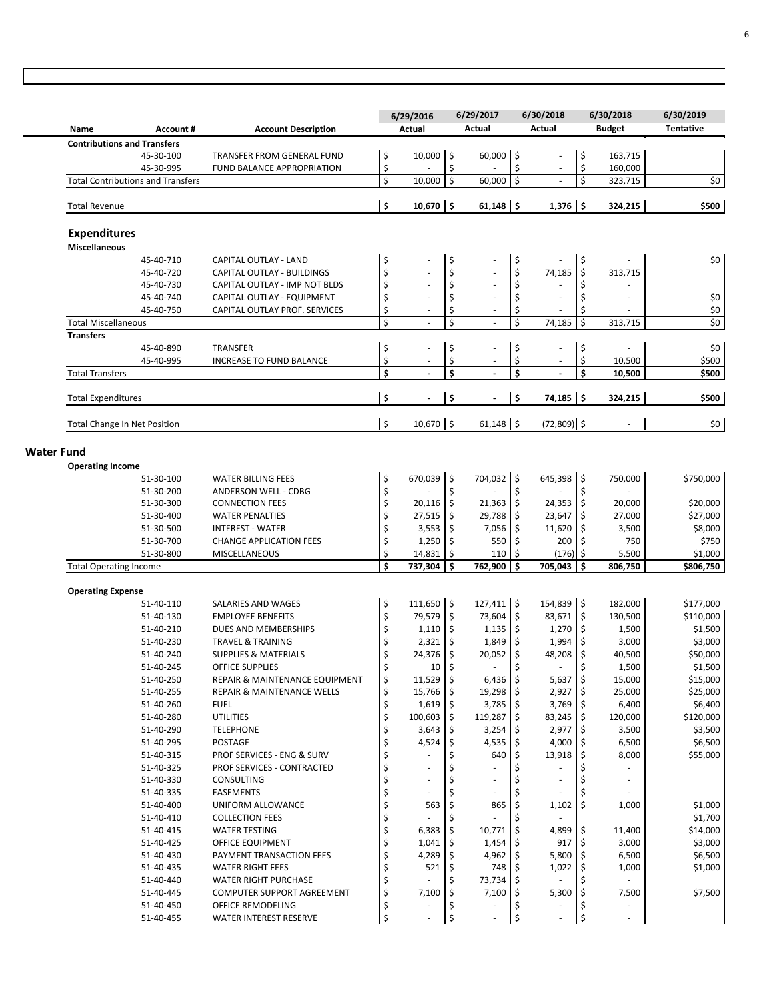|                   | Name                                     | <b>Account#</b>        | <b>Account Description</b>                                      |                                     | 6/29/2016<br>Actual                  |               | 6/29/2017<br>Actual            |            | 6/30/2018<br>Actual      |          | 6/30/2018<br><b>Budget</b> | 6/30/2019<br><b>Tentative</b> |
|-------------------|------------------------------------------|------------------------|-----------------------------------------------------------------|-------------------------------------|--------------------------------------|---------------|--------------------------------|------------|--------------------------|----------|----------------------------|-------------------------------|
|                   | <b>Contributions and Transfers</b>       |                        |                                                                 |                                     |                                      |               |                                |            |                          |          |                            |                               |
|                   |                                          | 45-30-100              | TRANSFER FROM GENERAL FUND                                      | \$                                  | 10,000 \$                            |               | 60,000 \$                      |            |                          | \$       | 163,715                    |                               |
|                   | <b>Total Contributions and Transfers</b> | 45-30-995              | FUND BALANCE APPROPRIATION                                      | \$<br>\$                            | 10,000                               | \$<br>$\zeta$ | 60,000                         | \$<br>\$   |                          | \$<br>\$ | 160,000<br>323,715         | \$0                           |
|                   |                                          |                        |                                                                 |                                     |                                      |               |                                |            |                          |          |                            |                               |
|                   | <b>Total Revenue</b>                     |                        |                                                                 | \$                                  | $10,670$ \$                          |               | $61,148$ \$                    |            | $1,376$ \$               |          | 324,215                    | \$500                         |
|                   | <b>Expenditures</b>                      |                        |                                                                 |                                     |                                      |               |                                |            |                          |          |                            |                               |
|                   | <b>Miscellaneous</b>                     |                        |                                                                 |                                     |                                      |               |                                |            |                          |          |                            |                               |
|                   |                                          | 45-40-710              | <b>CAPITAL OUTLAY - LAND</b>                                    | \$                                  |                                      | \$            |                                | \$         |                          | \$       |                            | \$0                           |
|                   |                                          | 45-40-720              | CAPITAL OUTLAY - BUILDINGS                                      | \$                                  |                                      | \$            |                                | \$         | 74,185                   | Ŝ.       | 313,715                    |                               |
|                   |                                          | 45-40-730              | CAPITAL OUTLAY - IMP NOT BLDS                                   | \$                                  | ÷,                                   | \$            | ÷,                             | \$         |                          |          |                            |                               |
|                   |                                          | 45-40-740              | CAPITAL OUTLAY - EQUIPMENT                                      | \$                                  | $\bar{a}$                            | \$            | ÷,                             | \$         | Ē,                       | Ś        | ÷,                         | \$0                           |
|                   | <b>Total Miscellaneous</b>               | 45-40-750              | CAPITAL OUTLAY PROF. SERVICES                                   | \$<br>\$                            | $\overline{\phantom{a}}$<br>$\omega$ | \$<br>\$      | $\overline{\phantom{a}}$<br>L. | \$<br>\$   | 74,185                   | \$<br>Ś  | 313,715                    | $$0$$<br>$\overline{\xi}$     |
|                   | <b>Transfers</b>                         |                        |                                                                 |                                     |                                      |               |                                |            |                          |          |                            |                               |
|                   |                                          | 45-40-890              | <b>TRANSFER</b>                                                 | \$                                  |                                      | \$            |                                | \$         |                          | \$       |                            | \$0                           |
|                   |                                          | 45-40-995              | <b>INCREASE TO FUND BALANCE</b>                                 | \$                                  | $\overline{\phantom{a}}$             | \$            | ÷,                             | \$         | $\overline{\phantom{a}}$ | \$       | 10,500                     | \$500                         |
|                   | <b>Total Transfers</b>                   |                        |                                                                 | \$                                  |                                      | \$            |                                | \$         |                          | \$       | 10,500                     | \$500                         |
|                   | <b>Total Expenditures</b>                |                        |                                                                 | \$                                  | $\blacksquare$                       | \$            | $\blacksquare$                 | \$         | $74,185$ \$              |          | 324,215                    | \$500                         |
|                   | <b>Total Change In Net Position</b>      |                        |                                                                 | \$                                  | $10,670$ \$                          |               | $61,148$ \$                    |            | $(72,809)$ \$            |          | ÷.                         | \$0                           |
|                   |                                          |                        |                                                                 |                                     |                                      |               |                                |            |                          |          |                            |                               |
| <b>Water Fund</b> |                                          |                        |                                                                 |                                     |                                      |               |                                |            |                          |          |                            |                               |
|                   | <b>Operating Income</b>                  |                        |                                                                 |                                     |                                      |               |                                |            |                          |          |                            |                               |
|                   |                                          | 51-30-100              | <b>WATER BILLING FEES</b>                                       | \$                                  | 670,039 \$                           |               | 704,032 \$                     |            | 645,398 \$               |          | 750,000                    | \$750,000                     |
|                   |                                          | 51-30-200              | ANDERSON WELL - CDBG                                            | \$                                  |                                      | \$            |                                | \$         |                          | \$       |                            |                               |
|                   |                                          | 51-30-300              | <b>CONNECTION FEES</b>                                          | \$                                  | $20,116$ \$                          |               | $21,363$ \$                    |            | $24,353$ \$              |          | 20,000                     | \$20,000                      |
|                   |                                          | 51-30-400<br>51-30-500 | <b>WATER PENALTIES</b><br><b>INTEREST - WATER</b>               | \$<br>\$                            | 27,515<br>3,553                      | \$<br>۱\$     | 29,788<br>7,056                | \$<br>۱\$  | 23,647<br>11,620         | \$<br>\$ | 27,000<br>3,500            | \$27,000<br>\$8,000           |
|                   |                                          | 51-30-700              | <b>CHANGE APPLICATION FEES</b>                                  | \$                                  | 1,250                                | \$            | 550                            | \$         | 200                      | \$       | 750                        | \$750                         |
|                   |                                          | 51-30-800              | MISCELLANEOUS                                                   | \$                                  | 14,831                               | \$            | 110                            | \$         | (176)                    | \$       | 5,500                      | \$1,000                       |
|                   | <b>Total Operating Income</b>            |                        |                                                                 | $\overline{\boldsymbol{\varsigma}}$ | 737,304                              | \$            | 762,900                        | \$         | 705,043                  | Ś        | 806,750                    | \$806,750                     |
|                   |                                          |                        |                                                                 |                                     |                                      |               |                                |            |                          |          |                            |                               |
|                   | <b>Operating Expense</b>                 |                        |                                                                 |                                     |                                      |               |                                |            |                          |          |                            |                               |
|                   |                                          | 51-40-110              | SALARIES AND WAGES                                              | \$                                  | 111,650 \$                           |               | $127,411$ \$                   |            | 154,839 \$               |          | 182,000                    | \$177,000                     |
|                   |                                          | 51-40-130              | <b>EMPLOYEE BENEFITS</b>                                        | \$                                  | 79,579 \$<br>$1,110$ \$              |               | 73,604 \$                      |            | 83,671 \$<br>$1,270$ \$  |          | 130,500                    | \$110,000                     |
|                   |                                          | 51-40-210              | DUES AND MEMBERSHIPS                                            | \$                                  |                                      | \$            | $1,135$ \$                     | l \$       |                          | \$       | 1,500                      | \$1,500                       |
|                   |                                          | 51-40-230<br>51-40-240 | <b>TRAVEL &amp; TRAINING</b><br><b>SUPPLIES &amp; MATERIALS</b> | \$<br>\$                            | 2,321<br>24,376                      | \$            | 1,849<br>20,052                | \$         | 1,994<br>48,208          | ۱\$      | 3,000<br>40,500            | \$3,000<br>\$50,000           |
|                   |                                          |                        |                                                                 |                                     | $10$ S                               |               |                                |            |                          |          | 1,500                      |                               |
|                   |                                          | 51-40-245<br>51-40-250 | OFFICE SUPPLIES<br>REPAIR & MAINTENANCE EQUIPMENT               | ⇒<br>\$                             | $11,529$ \$                          |               | $6,436$   \$                   |            | $5,637$ \$               |          | 15,000                     | \$1,500<br>\$15,000           |
|                   |                                          | 51-40-255              | REPAIR & MAINTENANCE WELLS                                      | \$                                  | 15,766 \$                            |               | $19,298$ \$                    |            | $2,927$ \$               |          | 25,000                     | \$25,000                      |
|                   |                                          | 51-40-260              | <b>FUEL</b>                                                     | \$                                  | $1,619$ \$                           |               | $3,785$ \$                     |            | 3,769 \$                 |          | 6,400                      | \$6,400                       |
|                   |                                          | 51-40-280              | <b>UTILITIES</b>                                                | \$                                  | $100,603$ \$                         |               | 119,287 \$                     |            | 83,245 \$                |          | 120,000                    | \$120,000                     |
|                   |                                          | 51-40-290              | <b>TELEPHONE</b>                                                | \$                                  | $3,643$ \$                           |               | 3,254                          | ۱\$        | 2,977 \$                 |          | 3,500                      | \$3,500                       |
|                   |                                          | 51-40-295              | <b>POSTAGE</b>                                                  | \$                                  | 4,524                                | \$            | $4,535$ \$                     |            | 4,000 \$                 |          | 6,500                      | \$6,500                       |
|                   |                                          | 51-40-315              | PROF SERVICES - ENG & SURV                                      | \$                                  |                                      |               | 640                            | \$         | $13,918$ \$              |          | 8,000                      | \$55,000                      |
|                   |                                          | 51-40-325              | PROF SERVICES - CONTRACTED                                      | \$                                  | $\overline{\phantom{m}}$             |               |                                |            |                          |          |                            |                               |
|                   |                                          | 51-40-330              | <b>CONSULTING</b>                                               | \$                                  |                                      |               | $\overline{\phantom{a}}$       |            |                          |          |                            |                               |
|                   |                                          | 51-40-335              | EASEMENTS                                                       | \$                                  |                                      |               | $\sim$                         |            | ÷,                       |          |                            |                               |
|                   |                                          | 51-40-400              | UNIFORM ALLOWANCE                                               | \$                                  | 563                                  |               | 865                            |            | 1,102                    | \$       | 1,000                      | \$1,000                       |
|                   |                                          | 51-40-410              | <b>COLLECTION FEES</b>                                          | \$                                  |                                      |               |                                |            | $\overline{\phantom{a}}$ |          |                            | \$1,700                       |
|                   |                                          | 51-40-415              | <b>WATER TESTING</b>                                            | \$                                  | 6,383                                | \$            | 10,771                         |            | 4,899                    | -Ś       | 11,400                     | \$14,000                      |
|                   |                                          | 51-40-425              | OFFICE EQUIPMENT                                                | \$                                  | 1,041                                | ۱\$           | 1,454                          | \$         | 917                      | -\$      | 3,000                      | \$3,000                       |
|                   |                                          | 51-40-430              | PAYMENT TRANSACTION FEES                                        | \$                                  | 4,289 \$                             |               | 4,962 \$                       |            | 5,800 \$                 |          | 6,500                      | \$6,500                       |
|                   |                                          | 51-40-435              | <b>WATER RIGHT FEES</b>                                         | \$                                  | 521                                  | \$            | 748                            |            | $1,022$ \$               |          | 1,000                      | \$1,000                       |
|                   |                                          | 51-40-440              | <b>WATER RIGHT PURCHASE</b>                                     | \$                                  |                                      | \$            | 73,734 \$                      |            | $\overline{\phantom{a}}$ | \$       |                            |                               |
|                   |                                          | 51-40-445<br>51-40-450 | <b>COMPUTER SUPPORT AGREEMENT</b><br>OFFICE REMODELING          | \$                                  | 7,100                                | \$<br>\$      | 7,100                          | ا \$<br>\$ | 5,300                    | \$<br>\$ | 7,500                      | \$7,500                       |
|                   |                                          | 51-40-455              | <b>WATER INTEREST RESERVE</b>                                   | \$<br>\$                            |                                      | \$            | $\overline{\phantom{a}}$       | \$         |                          | \$       |                            |                               |
|                   |                                          |                        |                                                                 |                                     |                                      |               |                                |            |                          |          |                            |                               |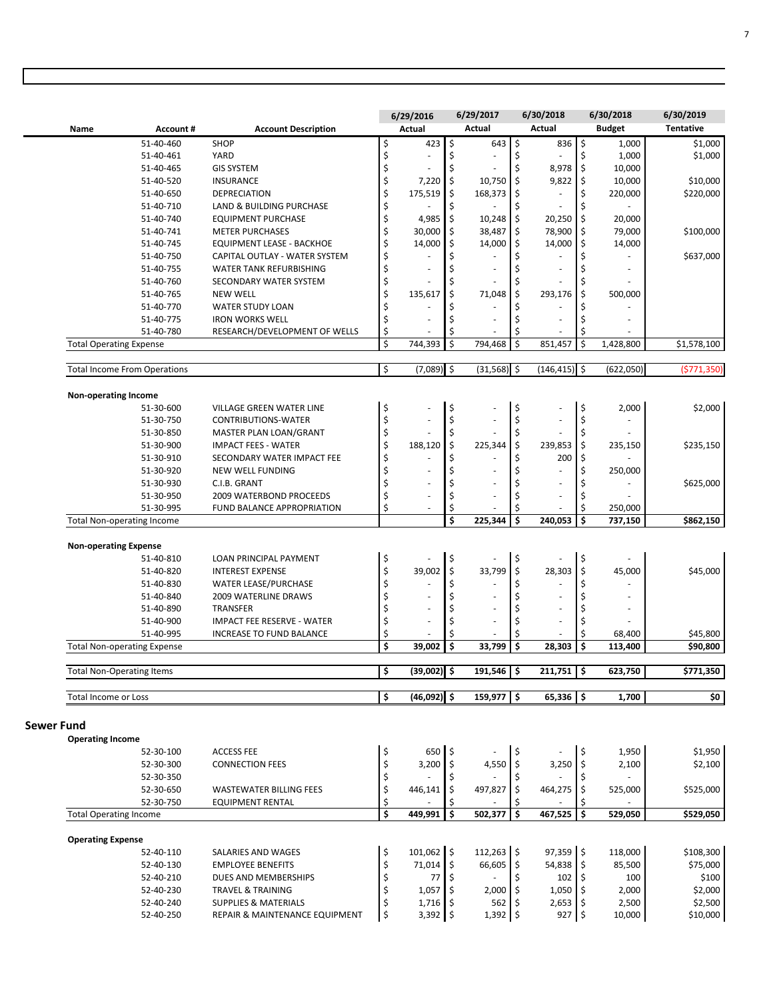|                   |                                     |                        |                                            |                                           | 6/29/2016                |                          | 6/29/2017                |          | 6/30/2018              |          | 6/30/2018       | 6/30/2019           |
|-------------------|-------------------------------------|------------------------|--------------------------------------------|-------------------------------------------|--------------------------|--------------------------|--------------------------|----------|------------------------|----------|-----------------|---------------------|
|                   | Name                                | Account#               | <b>Account Description</b>                 |                                           | Actual                   |                          | Actual                   |          | Actual                 |          | <b>Budget</b>   | <b>Tentative</b>    |
|                   |                                     | 51-40-460              | <b>SHOP</b>                                | \$                                        | 423                      | $\overline{\phantom{a}}$ | 643                      | l \$     | 836 \$                 |          | 1,000           | \$1,000             |
|                   |                                     | 51-40-461              | YARD                                       | \$                                        |                          | \$                       | ÷,                       | \$       |                        | \$       | 1,000           | \$1,000             |
|                   |                                     | 51-40-465              | <b>GIS SYSTEM</b>                          | \$                                        |                          | \$                       | ÷,                       | Ś        | 8,978                  | \$       | 10,000          |                     |
|                   |                                     | 51-40-520              | <b>INSURANCE</b>                           | \$                                        | 7,220                    | \$                       | 10,750                   | \$       | 9,822                  | \$       | 10,000          | \$10,000            |
|                   |                                     | 51-40-650              | <b>DEPRECIATION</b>                        | \$                                        | 175,519                  | \$                       | 168,373                  | \$       | ÷,                     | \$       | 220,000         | \$220,000           |
|                   |                                     | 51-40-710              | LAND & BUILDING PURCHASE                   | \$                                        |                          | \$                       |                          | \$       | $\sim$                 | \$       |                 |                     |
|                   |                                     | 51-40-740              | <b>EQUIPMENT PURCHASE</b>                  | \$                                        | 4,985                    | \$                       | 10,248                   | \$       | 20,250                 | \$       | 20,000          |                     |
|                   |                                     | 51-40-741              | <b>METER PURCHASES</b>                     | \$                                        | 30,000                   | \$                       | 38,487                   | \$       | 78,900                 | \$       | 79,000          | \$100,000           |
|                   |                                     | 51-40-745              | <b>EQUIPMENT LEASE - BACKHOE</b>           | \$                                        | 14,000                   | \$                       | 14,000                   | \$       | 14,000                 | \$       | 14,000          |                     |
|                   |                                     | 51-40-750              | CAPITAL OUTLAY - WATER SYSTEM              | \$                                        |                          | \$                       |                          | \$       |                        | \$       |                 | \$637,000           |
|                   |                                     | 51-40-755              | WATER TANK REFURBISHING                    | \$                                        | ä,                       | Ś                        | ÷,                       |          | ÷,                     |          | ٠               |                     |
|                   |                                     | 51-40-760              | SECONDARY WATER SYSTEM                     | \$<br>\$                                  |                          | Ś                        |                          | Ś        |                        | Ś        |                 |                     |
|                   |                                     | 51-40-765<br>51-40-770 | <b>NEW WELL</b><br><b>WATER STUDY LOAN</b> | \$                                        | 135,617                  | Ś                        | 71,048                   | Ś        | 293,176                | Ś        | 500,000         |                     |
|                   |                                     | 51-40-775              | <b>IRON WORKS WELL</b>                     | \$                                        | ä,                       | Ś                        | $\overline{\phantom{a}}$ |          | ÷,                     |          | ÷,              |                     |
|                   |                                     | 51-40-780              | RESEARCH/DEVELOPMENT OF WELLS              | \$                                        |                          | \$                       |                          | \$       |                        | \$       |                 |                     |
|                   | <b>Total Operating Expense</b>      |                        |                                            | \$                                        | 744,393                  | Ś                        | 794,468                  | Ś        | 851,457                | Ś        | 1,428,800       | \$1,578,100         |
|                   |                                     |                        |                                            |                                           |                          |                          |                          |          |                        |          |                 |                     |
|                   | <b>Total Income From Operations</b> |                        |                                            | \$                                        | $(7,089)$ \$             |                          | $(31,568)$ \$            |          | $(146, 415)$ \$        |          | (622,050)       | (5771, 350)         |
|                   | Non-operating Income                |                        |                                            |                                           |                          |                          |                          |          |                        |          |                 |                     |
|                   |                                     | 51-30-600              | VILLAGE GREEN WATER LINE                   | \$                                        |                          | \$                       | ÷,                       | \$       | ä,                     | \$       | 2,000           | \$2,000             |
|                   |                                     | 51-30-750              | CONTRIBUTIONS-WATER                        | \$                                        |                          | \$                       | ä,                       | \$       | ÷.                     | \$       |                 |                     |
|                   |                                     | 51-30-850              | MASTER PLAN LOAN/GRANT                     | \$                                        |                          | \$                       |                          |          |                        | Ś        |                 |                     |
|                   |                                     | 51-30-900              | <b>IMPACT FEES - WATER</b>                 | \$                                        | 188,120                  | \$                       | 225,344                  | \$       | 239,853                | \$       | 235,150         | \$235,150           |
|                   |                                     | 51-30-910              | SECONDARY WATER IMPACT FEE                 | \$                                        |                          | \$                       |                          | Ś        | 200                    | \$       |                 |                     |
|                   |                                     | 51-30-920              | <b>NEW WELL FUNDING</b>                    | \$                                        | ä,                       | Ś                        | ÷,                       |          | L,                     | \$       | 250,000         |                     |
|                   |                                     | 51-30-930              | C.I.B. GRANT                               | \$                                        |                          | \$                       |                          | \$       | ÷,                     | \$       |                 | \$625,000           |
|                   |                                     | 51-30-950              | 2009 WATERBOND PROCEEDS                    | \$                                        | ÷.                       | \$                       |                          |          | ä,                     | Ś        |                 |                     |
|                   |                                     | 51-30-995              | FUND BALANCE APPROPRIATION                 | \$                                        | $\overline{\phantom{a}}$ | \$                       |                          | \$       |                        | \$       | 250,000         |                     |
|                   | <b>Total Non-operating Income</b>   |                        |                                            |                                           |                          | Ś                        | 225,344                  | Ś        | 240,053                | Ś        | 737,150         | \$862,150           |
|                   | <b>Non-operating Expense</b>        |                        |                                            |                                           |                          |                          |                          |          |                        |          |                 |                     |
|                   |                                     | 51-40-810              | LOAN PRINCIPAL PAYMENT                     | \$                                        |                          | \$                       |                          | \$       |                        | \$       |                 |                     |
|                   |                                     | 51-40-820              | <b>INTEREST EXPENSE</b>                    | \$                                        | 39,002                   | \$                       | 33,799                   | \$       | 28,303                 | \$       | 45,000          | \$45,000            |
|                   |                                     | 51-40-830              | <b>WATER LEASE/PURCHASE</b>                | \$                                        | ä,                       | \$                       |                          |          | ä,                     | \$       | ÷,              |                     |
|                   |                                     | 51-40-840              | <b>2009 WATERLINE DRAWS</b>                | \$                                        |                          | \$                       |                          | Ś        |                        | Ś        |                 |                     |
|                   |                                     | 51-40-890              | TRANSFER                                   | \$                                        |                          | Ś                        | ÷,                       |          | L,                     |          | ÷,              |                     |
|                   |                                     | 51-40-900              | <b>IMPACT FEE RESERVE - WATER</b>          | \$                                        |                          | Ś                        | ÷,                       |          | ÷                      |          |                 |                     |
|                   |                                     | 51-40-995              | INCREASE TO FUND BALANCE                   | \$                                        |                          | Ś                        |                          |          |                        | Ś        | 68,400          | \$45,800            |
|                   | <b>Total Non-operating Expense</b>  |                        |                                            | \$                                        | 39,002                   | \$                       | 33,799                   | \$       | 28,303                 | \$       | 113,400         | \$90,800            |
|                   | <b>Total Non-Operating Items</b>    |                        |                                            | \$                                        | $(39,002)$ \$            |                          | $191,546$ \$             |          | $211,751$ \$           |          | 623,750         | 5771,350            |
|                   | Total Income or Loss                |                        |                                            | \$                                        | $(46,092)$ \$            |                          | $159,977$ \$             |          | $65,336$ \$            |          | 1,700           | \$0                 |
|                   |                                     |                        |                                            |                                           |                          |                          |                          |          |                        |          |                 |                     |
| <b>Sewer Fund</b> |                                     |                        |                                            |                                           |                          |                          |                          |          |                        |          |                 |                     |
|                   | <b>Operating Income</b>             |                        |                                            |                                           |                          |                          |                          |          |                        |          |                 |                     |
|                   |                                     | 52-30-100              | <b>ACCESS FEE</b>                          | \$                                        | 650 \$                   |                          |                          | \$       |                        | ۱\$      | 1,950           | \$1,950             |
|                   |                                     | 52-30-300              | <b>CONNECTION FEES</b>                     | \$                                        | 3,200                    | \$                       | 4,550                    | \$       | 3,250                  | \$       | 2,100           | \$2,100             |
|                   |                                     | 52-30-350              |                                            | \$                                        | ä,                       | \$                       |                          | \$       |                        | \$       |                 |                     |
|                   |                                     | 52-30-650              | <b>WASTEWATER BILLING FEES</b>             | \$                                        | 446,141                  | \$                       | 497,827                  | \$       | 464,275                | \$       | 525,000         | \$525,000           |
|                   | <b>Total Operating Income</b>       | 52-30-750              | <b>EQUIPMENT RENTAL</b>                    | \$<br>$\overline{\boldsymbol{\varsigma}}$ | 449,991                  | \$<br>\$                 | 502,377                  | \$<br>\$ | 467,525                | \$<br>\$ | 529,050         | \$529,050           |
|                   |                                     |                        |                                            |                                           |                          |                          |                          |          |                        |          |                 |                     |
|                   | <b>Operating Expense</b>            |                        |                                            |                                           |                          |                          |                          |          |                        |          |                 |                     |
|                   |                                     | 52-40-110              | SALARIES AND WAGES                         | \$                                        | 101,062 \$               |                          | $112,263$ \$             |          | 97,359 \$              |          | 118,000         | \$108,300           |
|                   |                                     | 52-40-130              | <b>EMPLOYEE BENEFITS</b>                   | \$                                        | $71,014$ \$              |                          | 66,605 \$                |          | 54,838 \$              |          | 85,500          | \$75,000            |
|                   |                                     | 52-40-210              | DUES AND MEMBERSHIPS                       | \$                                        | $77$   \$                |                          |                          | \$       | $102 \div$             |          | 100             | \$100               |
|                   |                                     | 52-40-230              | <b>TRAVEL &amp; TRAINING</b>               | \$                                        | $1,057$ \$               |                          | $2,000$ \$               |          | $1,050$ \$             |          | 2,000           | \$2,000             |
|                   |                                     | 52-40-240<br>52-40-250 | <b>SUPPLIES &amp; MATERIALS</b>            | \$<br>\$                                  | $1,716$ \$<br>3,392 \$   |                          | $562 \,$ \$<br>1,392 \$  |          | $2,653$ \$<br>$927$ \$ |          | 2,500<br>10,000 | \$2,500<br>\$10,000 |
|                   |                                     |                        | REPAIR & MAINTENANCE EQUIPMENT             |                                           |                          |                          |                          |          |                        |          |                 |                     |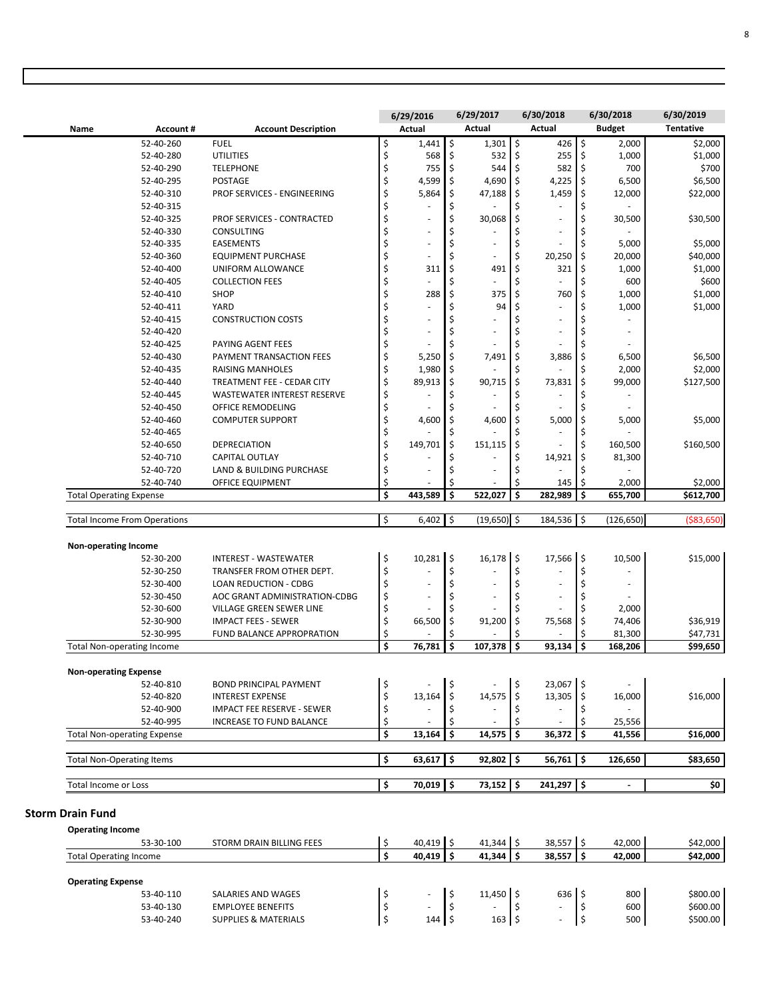|                                     |                                                                |               |                          |          | 6/29/2017                    |          | 6/30/2018                |     | 6/30/2018                | 6/30/2019           |
|-------------------------------------|----------------------------------------------------------------|---------------|--------------------------|----------|------------------------------|----------|--------------------------|-----|--------------------------|---------------------|
|                                     |                                                                |               | 6/29/2016                |          | Actual                       |          | Actual                   |     |                          | <b>Tentative</b>    |
| Account#<br>Name                    | <b>Account Description</b>                                     |               | Actual                   |          |                              |          |                          |     | <b>Budget</b>            |                     |
| 52-40-260                           | <b>FUEL</b>                                                    | \$            | $1,441$ \$               |          | $1,301$ \$                   |          | $426$ \$                 |     | 2,000                    | \$2,000             |
| 52-40-280                           | <b>UTILITIES</b>                                               | \$            | 568                      | \$       | 532                          | \$       | 255                      | \$  | 1,000                    | \$1,000             |
| 52-40-290                           | <b>TELEPHONE</b>                                               | \$            | 755                      | \$       | 544                          | \$       | 582                      | \$  | 700                      | \$700               |
| 52-40-295                           | <b>POSTAGE</b>                                                 | \$            | 4,599                    | \$       | 4,690 \$                     |          | 4,225                    | \$  | 6,500                    | \$6,500             |
| 52-40-310                           | PROF SERVICES - ENGINEERING                                    | \$            | 5,864                    | \$       | 47,188                       | \$       | 1,459                    | Ś   | 12,000                   | \$22,000            |
| 52-40-315                           |                                                                | \$            | ÷,                       | \$       |                              | \$       | ÷,                       | \$  |                          |                     |
| 52-40-325                           | PROF SERVICES - CONTRACTED                                     | \$            | ÷,                       | \$       | 30,068                       | \$<br>Ś  | $\overline{\phantom{a}}$ | \$  | 30,500                   | \$30,500            |
| 52-40-330<br>52-40-335              | CONSULTING                                                     | \$<br>\$      | ä,<br>÷,                 | \$<br>\$ | ÷,                           | Ś        | ÷,<br>ä,                 | Ś   |                          |                     |
| 52-40-360                           | <b>EASEMENTS</b>                                               |               | ٠                        | \$       |                              |          |                          | \$  | 5,000                    | \$5,000             |
| 52-40-400                           | <b>EQUIPMENT PURCHASE</b><br>UNIFORM ALLOWANCE                 | \$<br>\$      | 311                      | \$       | ٠<br>491                     | \$<br>\$ | 20,250<br>321            | \$  | 20,000<br>1,000          | \$40,000<br>\$1,000 |
| 52-40-405                           | <b>COLLECTION FEES</b>                                         |               | ä,                       | \$       |                              | Ś        | ÷,                       | Ś   | 600                      |                     |
| 52-40-410                           | SHOP                                                           | \$            | 288                      | \$       | 375                          | Ś        | 760                      | Ś   | 1,000                    | \$600<br>\$1,000    |
|                                     | YARD                                                           | \$            |                          |          | 94                           | Ś        | ä,                       | \$  |                          | \$1,000             |
| 52-40-411<br>52-40-415              |                                                                | \$            |                          | \$       |                              | Ś        |                          | Ś   | 1,000                    |                     |
| 52-40-420                           | <b>CONSTRUCTION COSTS</b>                                      | \$<br>\$      | ÷,<br>ä,                 | \$<br>\$ | ÷,<br>÷,                     | Ś        | ÷,                       |     |                          |                     |
| 52-40-425                           |                                                                |               |                          |          | ä,                           | Ś        | $\overline{\phantom{a}}$ | Ś   |                          |                     |
| 52-40-430                           | PAYING AGENT FEES<br>PAYMENT TRANSACTION FEES                  | \$<br>\$      | 5,250                    | \$<br>\$ | 7,491                        | \$       | 3,886                    | \$  | 6,500                    | \$6,500             |
| 52-40-435                           | <b>RAISING MANHOLES</b>                                        | \$            | 1,980                    | \$       |                              |          |                          |     | 2,000                    | \$2,000             |
| 52-40-440                           | TREATMENT FEE - CEDAR CITY                                     | \$            | 89,913                   | \$       | 90,715                       | \$       | 73,831                   | \$  | 99,000                   | \$127,500           |
| 52-40-445                           |                                                                | \$            |                          | \$       |                              | Ś        | $\sim$                   | Ś   |                          |                     |
|                                     | <b>WASTEWATER INTEREST RESERVE</b><br><b>OFFICE REMODELING</b> |               |                          | \$       |                              |          |                          |     |                          |                     |
| 52-40-450<br>52-40-460              |                                                                | \$<br>\$      |                          | \$       |                              | \$       | 5,000                    | \$  |                          |                     |
|                                     | <b>COMPUTER SUPPORT</b>                                        |               | 4,600                    |          | 4,600                        |          |                          | Ś   | 5,000                    | \$5,000             |
| 52-40-465<br>52-40-650              | <b>DEPRECIATION</b>                                            | \$<br>\$      | 149,701                  | \$<br>\$ | 151,115                      |          | ÷,                       | Ś   |                          | \$160,500           |
| 52-40-710                           | <b>CAPITAL OUTLAY</b>                                          | \$            |                          | \$       |                              | \$<br>\$ | 14,921                   | \$  | 160,500<br>81,300        |                     |
| 52-40-720                           | LAND & BUILDING PURCHASE                                       | \$            | ä,                       | \$       | ä,                           |          |                          | ς   |                          |                     |
| 52-40-740                           |                                                                | \$            |                          | \$       |                              | \$       | 145                      | \$  | 2,000                    | \$2,000             |
| <b>Total Operating Expense</b>      | OFFICE EQUIPMENT                                               | \$            | 443,589                  | \$       | 522,027                      | \$       | 282,989                  | \$  | 655,700                  | \$612,700           |
|                                     |                                                                |               |                          |          |                              |          |                          |     |                          |                     |
| <b>Total Income From Operations</b> |                                                                | \$            | 6,402                    | \$       | $(19,650)$ \$                |          | 184,536                  | \$  | (126, 650)               | (\$83,650           |
|                                     |                                                                |               |                          |          |                              |          |                          |     |                          |                     |
| Non-operating Income                |                                                                |               |                          |          |                              |          |                          |     |                          |                     |
| 52-30-200                           | <b>INTEREST - WASTEWATER</b>                                   | \$            | $10,281$ \$              |          | $16,178$ \$                  |          | $17,566$ \$              |     | 10,500                   | \$15,000            |
| 52-30-250                           | TRANSFER FROM OTHER DEPT.                                      | \$            |                          | \$       |                              | \$       |                          | \$  |                          |                     |
| 52-30-400                           | <b>LOAN REDUCTION - CDBG</b>                                   | \$            | $\overline{\phantom{a}}$ | \$       | $\qquad \qquad \blacksquare$ | \$       | $\overline{a}$           | \$  | $\overline{\phantom{m}}$ |                     |
| 52-30-450                           | AOC GRANT ADMINISTRATION-CDBG                                  |               |                          |          |                              |          |                          |     |                          |                     |
| 52-30-600                           |                                                                | \$            | ÷,                       | \$       | ÷,                           | \$       | ÷,                       | \$  |                          |                     |
|                                     | VILLAGE GREEN SEWER LINE                                       | \$            |                          | \$       |                              | Ś        |                          | Ś   | 2,000                    |                     |
| 52-30-900                           | <b>IMPACT FEES - SEWER</b>                                     | \$            | 66,500                   | \$       | 91,200                       | \$       | 75,568                   | Ś   | 74,406                   | \$36,919            |
| 52-30-995                           | FUND BALANCE APPROPRATION                                      | \$            |                          | \$       |                              | Ś        |                          | \$  | 81,300                   | \$47,731            |
| <b>Total Non-operating Income</b>   |                                                                | \$            | 76,781                   | \$       | 107,378                      | \$       | 93,134                   | \$  | 168,206                  | \$99,650            |
|                                     |                                                                |               |                          |          |                              |          |                          |     |                          |                     |
| <b>Non-operating Expense</b>        |                                                                |               |                          |          |                              |          |                          |     |                          |                     |
| 52-40-810                           | <b>BOND PRINCIPAL PAYMENT</b>                                  | \$            |                          | \$       |                              | Ś        | 23,067 \$                |     |                          |                     |
| 52-40-820                           | <b>INTEREST EXPENSE</b>                                        |               | 13,164                   | \$       | 14,575                       | \$       | 13,305                   | ۱\$ | 16,000                   | \$16,000            |
| 52-40-900                           | <b>IMPACT FEE RESERVE - SEWER</b>                              | $\frac{1}{2}$ |                          | \$       |                              | \$       | ÷,                       | \$  |                          |                     |
| 52-40-995                           | INCREASE TO FUND BALANCE                                       | \$            | ٠                        | \$       |                              | \$       | $\overline{\phantom{a}}$ | \$  | 25,556<br>41,556         |                     |
| <b>Total Non-operating Expense</b>  |                                                                | \$            | 13,164                   | \$       | $14,575$ \$                  |          | $36,372$ \$              |     |                          | \$16,000            |
| <b>Total Non-Operating Items</b>    |                                                                | \$            | $63,617$ \$              |          | $92,802$ \$                  |          | 56,761                   | ۱\$ | 126,650                  | \$83,650            |
|                                     |                                                                |               |                          |          |                              |          |                          |     |                          |                     |
| Total Income or Loss                |                                                                | \$            | 70,019 \$                |          | $73,152$ \$                  |          | 241,297 \$               |     |                          | \$0                 |
| <b>Storm Drain Fund</b>             |                                                                |               |                          |          |                              |          |                          |     |                          |                     |
| <b>Operating Income</b>             |                                                                |               |                          |          |                              |          |                          |     |                          |                     |
| 53-30-100                           | STORM DRAIN BILLING FEES                                       | \$            | 40,419 \$                |          | 41,344 \$                    |          | 38,557 \$                |     | 42,000                   | \$42,000            |
| <b>Total Operating Income</b>       |                                                                | \$            | 40,419 \$                |          | $41,344$ $\frac{1}{5}$       |          | $38,557$ \$              |     | 42,000                   | \$42,000            |

53-40-110 SALARIES AND WAGES | \$ - | \$ 11,450 | \$ 636 | \$ 800 | \$800.00 53-40-130 EMPLOYEE BENEFITS | \$ - | \$ - | \$ - | \$ 600 | \$600.00 53-40-240 SUPPLIES&MATERIALS | \$ 144 | \$ 163 | \$ - | \$ 500 | \$500.00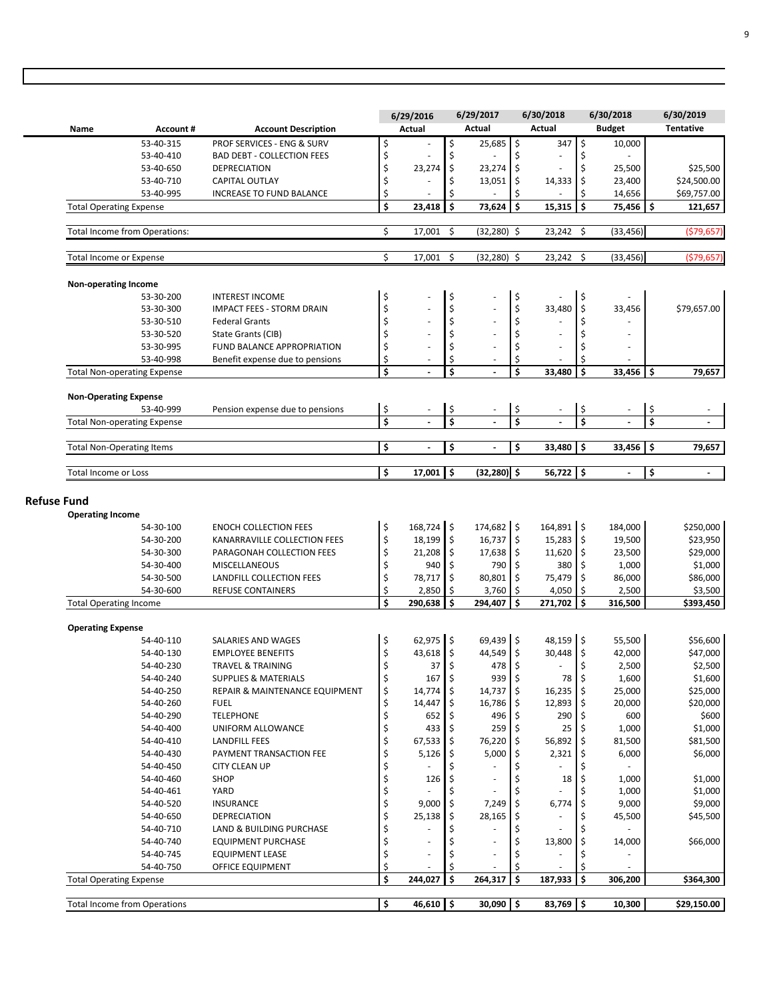|                    |                                     |                               |                                                          |          | 6/29/2016            |          | 6/29/2017<br>Actual      |     | 6/30/2018<br>Actual      |                         | 6/30/2018                |      | 6/30/2019<br><b>Tentative</b> |
|--------------------|-------------------------------------|-------------------------------|----------------------------------------------------------|----------|----------------------|----------|--------------------------|-----|--------------------------|-------------------------|--------------------------|------|-------------------------------|
|                    | Name                                | <b>Account#</b>               | <b>Account Description</b>                               |          | Actual               |          |                          |     |                          |                         | <b>Budget</b>            |      |                               |
|                    |                                     | 53-40-315<br>53-40-410        | <b>PROF SERVICES - ENG &amp; SURV</b>                    | \$       | ÷,                   | \$<br>\$ | $25,685$ \$              | \$  | 347<br>$\sim$            | \$<br>\$                | 10,000                   |      |                               |
|                    |                                     |                               | <b>BAD DEBT - COLLECTION FEES</b><br><b>DEPRECIATION</b> | \$<br>\$ | 23,274               | \$       | 23,274                   | ۱\$ | ÷,                       | \$                      | 25,500                   |      | \$25,500                      |
|                    |                                     | 53-40-650<br>53-40-710        | CAPITAL OUTLAY                                           | \$       | $\overline{a}$       | \$       | 13,051                   | \$  | 14,333                   | \$                      | 23,400                   |      | \$24,500.00                   |
|                    |                                     | 53-40-995                     | <b>INCREASE TO FUND BALANCE</b>                          | \$       |                      | \$       |                          | \$  |                          | Ś                       | 14,656                   |      | \$69,757.00                   |
|                    | <b>Total Operating Expense</b>      |                               |                                                          | \$       | 23,418               | l s      | 73,624                   | l s | 15,315                   | l \$                    | 75,456 \$                |      | 121,657                       |
|                    |                                     |                               |                                                          |          |                      |          |                          |     |                          |                         |                          |      |                               |
|                    |                                     | Total Income from Operations: |                                                          | \$       | 17,001               | \$       | (32,280) \$              |     | 23,242                   | -\$                     | (33, 456)                |      | ( \$79, 657)                  |
|                    | <b>Total Income or Expense</b>      |                               |                                                          | \$       | 17,001               | \$       | (32,280) \$              |     | 23,242                   | Ŝ.                      | (33, 456)                |      | ( \$79, 657)                  |
|                    | <b>Non-operating Income</b>         |                               |                                                          |          |                      |          |                          |     |                          |                         |                          |      |                               |
|                    |                                     | 53-30-200                     | <b>INTEREST INCOME</b>                                   | \$       |                      | \$       |                          | \$  | ÷,                       | $\sqrt{ }$              |                          |      |                               |
|                    |                                     | 53-30-300                     | <b>IMPACT FEES - STORM DRAIN</b>                         | \$       | ä,                   | \$       |                          | \$  | 33,480                   | $\zeta$                 | 33,456                   |      | \$79,657.00                   |
|                    |                                     | 53-30-510                     | <b>Federal Grants</b>                                    | \$       | ÷,                   | \$       |                          | \$  |                          | \$                      |                          |      |                               |
|                    |                                     | 53-30-520                     | State Grants (CIB)                                       | \$       | ä,                   | \$       | $\overline{\phantom{a}}$ | \$  | $\sim$                   | \$                      |                          |      |                               |
|                    |                                     | 53-30-995                     | FUND BALANCE APPROPRIATION                               | \$       | ÷,                   | \$       | $\sim$                   | \$  | ÷,                       | \$                      |                          |      |                               |
|                    |                                     | 53-40-998                     | Benefit expense due to pensions                          | \$       |                      | \$       |                          | \$  |                          | Ś                       |                          |      |                               |
|                    | <b>Total Non-operating Expense</b>  |                               |                                                          | \$       |                      | \$       | $\overline{a}$           | \$  | 33,480                   | \$                      | 33,456                   | l \$ | 79,657                        |
|                    | <b>Non-Operating Expense</b>        |                               |                                                          |          |                      |          |                          |     |                          |                         |                          |      |                               |
|                    |                                     | 53-40-999                     | Pension expense due to pensions                          | \$       |                      | \$       |                          | \$  |                          | \$                      |                          | \$   |                               |
|                    | <b>Total Non-operating Expense</b>  |                               |                                                          | \$       |                      | \$       |                          | \$  |                          | $\overline{\mathsf{s}}$ |                          | Ś    |                               |
|                    | <b>Total Non-Operating Items</b>    |                               |                                                          | \$       | $\ddot{\phantom{a}}$ | \$       | $\blacksquare$           | \$  | 33,480                   | l \$                    | 33,456                   | ۱\$  | 79,657                        |
|                    |                                     |                               |                                                          |          |                      |          |                          |     |                          |                         |                          |      |                               |
|                    | <b>Total Income or Loss</b>         |                               |                                                          | \$       | 17,001               | ۱\$      | $(32, 280)$ \$           |     | $56,722$ \$              |                         | $\overline{\phantom{a}}$ | \$   |                               |
| <b>Refuse Fund</b> |                                     |                               |                                                          |          |                      |          |                          |     |                          |                         |                          |      |                               |
|                    | <b>Operating Income</b>             |                               |                                                          |          |                      |          |                          |     |                          |                         |                          |      |                               |
|                    |                                     | 54-30-100                     | <b>ENOCH COLLECTION FEES</b>                             | \$       | 168,724 \$           |          | 174,682 \$               |     | 164,891 \$               |                         | 184,000                  |      | \$250,000                     |
|                    |                                     | 54-30-200                     | KANARRAVILLE COLLECTION FEES                             | \$       | $18,199$ \$          |          | $16,737$ \$              |     | $15,283$ \$              |                         | 19,500                   |      | \$23,950                      |
|                    |                                     | 54-30-300                     | PARAGONAH COLLECTION FEES                                | \$       | 21,208 \$            |          | $17,638$ \$              |     | $11,620$ \$              |                         | 23,500                   |      | \$29,000                      |
|                    |                                     | 54-30-400                     | <b>MISCELLANEOUS</b>                                     | \$       | $940 \pm$            |          | 790 \$                   |     | 380 \$                   |                         | 1,000                    |      | \$1,000                       |
|                    |                                     | 54-30-500                     | LANDFILL COLLECTION FEES                                 | \$       | 78,717 \$            |          | 80,801                   | I\$ | 75,479 \$                |                         | 86,000                   |      | \$86,000                      |
|                    |                                     | 54-30-600                     | <b>REFUSE CONTAINERS</b>                                 | \$       | 2,850                | \$       | $3,760$ \$               |     | 4,050                    | \$                      | 2,500                    |      | \$3,500                       |
|                    | <b>Total Operating Income</b>       |                               |                                                          | \$       | 290,638              | \$       | 294,407                  | Ś   | 271,702                  | Ś                       | 316,500                  |      | \$393,450                     |
|                    |                                     |                               |                                                          |          |                      |          |                          |     |                          |                         |                          |      |                               |
|                    | <b>Operating Expense</b>            |                               |                                                          |          | 62,975 \$            |          | 69,439 \$                |     | 48,159 \$                |                         |                          |      |                               |
|                    |                                     | 54-40-110<br>54-40-130        | SALARIES AND WAGES<br><b>EMPLOYEE BENEFITS</b>           | \$<br>\$ | 43,618 \$            |          | 44,549 \$                |     | 30,448 \$                |                         | 55,500                   |      | \$56,600                      |
|                    |                                     | 54-40-230                     | <b>TRAVEL &amp; TRAINING</b>                             |          | 37                   | \$ ا     | 478 \$                   |     |                          | \$                      | 42,000<br>2,500          |      | \$47,000<br>\$2,500           |
|                    |                                     | 54-40-240                     | <b>SUPPLIES &amp; MATERIALS</b>                          | \$<br>\$ | $167 \pm 5$          |          | $939$ \$                 |     | 78 \$                    |                         | 1,600                    |      | \$1,600                       |
|                    |                                     | 54-40-250                     | REPAIR & MAINTENANCE EQUIPMENT                           | \$       | $14,774$ \$          |          | $14,737$ \$              |     | $16,235$ \$              |                         | 25,000                   |      | \$25,000                      |
|                    |                                     |                               |                                                          |          | $14,447$ \$          |          |                          |     |                          |                         |                          |      |                               |
|                    |                                     | 54-40-260<br>54-40-290        | <b>FUEL</b><br><b>TELEPHONE</b>                          | \$       | $652 \;$ \$          |          | $16,786$ \$<br>$496$ \$  |     | 12,893 \$<br>290 \$      |                         | 20,000<br>600            |      | \$20,000<br>\$600             |
|                    |                                     |                               | UNIFORM ALLOWANCE                                        | \$<br>\$ | $433 \quad$ \$       |          | $259$ \$                 |     | $25 \mid 5$              |                         | 1,000                    |      | \$1,000                       |
|                    |                                     | 54-40-400<br>54-40-410        | <b>LANDFILL FEES</b>                                     | \$       | $67,533$ \$          |          | 76,220 \$                |     | 56,892 \$                |                         |                          |      | \$81,500                      |
|                    |                                     | 54-40-430                     | PAYMENT TRANSACTION FEE                                  |          | $5,126$ \$           |          | $5,000$ \$               |     | 2,321                    | 1\$                     | 81,500<br>6,000          |      | \$6,000                       |
|                    |                                     | 54-40-450                     | <b>CITY CLEAN UP</b>                                     | \$<br>\$ |                      | Ś        |                          | \$  |                          |                         |                          |      |                               |
|                    |                                     | 54-40-460                     | SHOP                                                     | \$       | 126                  | I\$      | $\overline{\phantom{a}}$ |     | 18                       |                         | 1,000                    |      | \$1,000                       |
|                    |                                     |                               |                                                          | \$       |                      |          |                          |     |                          |                         |                          |      | \$1,000                       |
|                    |                                     | 54-40-461<br>54-40-520        | YARD<br><b>INSURANCE</b>                                 | \$       | $9,000$ \$           |          | 7,249                    |     | 6,774                    | 1\$                     | 1,000<br>9,000           |      | \$9,000                       |
|                    |                                     | 54-40-650                     | DEPRECIATION                                             | \$       | $25,138$ \$          |          | 28,165 \$                |     | $\overline{\phantom{a}}$ |                         | 45,500                   |      | \$45,500                      |
|                    |                                     | 54-40-710                     | LAND & BUILDING PURCHASE                                 | \$       |                      |          |                          |     |                          |                         |                          |      |                               |
|                    |                                     | 54-40-740                     | <b>EQUIPMENT PURCHASE</b>                                | \$       |                      |          |                          | \$  | 13,800 \$                |                         | 14,000                   |      | \$66,000                      |
|                    |                                     | 54-40-745                     | <b>EQUIPMENT LEASE</b>                                   | \$       |                      |          | $\sim$                   |     |                          |                         |                          |      |                               |
|                    |                                     | 54-40-750                     | OFFICE EQUIPMENT                                         | \$       |                      |          |                          |     |                          |                         |                          |      |                               |
|                    | <b>Total Operating Expense</b>      |                               |                                                          | \$       | 244,027              | \$       | 264,317                  | \$  | $187,933$ \$             |                         | 306,200                  |      | \$364,300                     |
|                    |                                     |                               |                                                          |          |                      |          |                          |     |                          |                         |                          |      |                               |
|                    | <b>Total Income from Operations</b> |                               |                                                          | \$       | 46,610 \$            |          | 30,090 \$                |     | $83,769$ \$              |                         | 10,300                   |      | \$29,150.00                   |